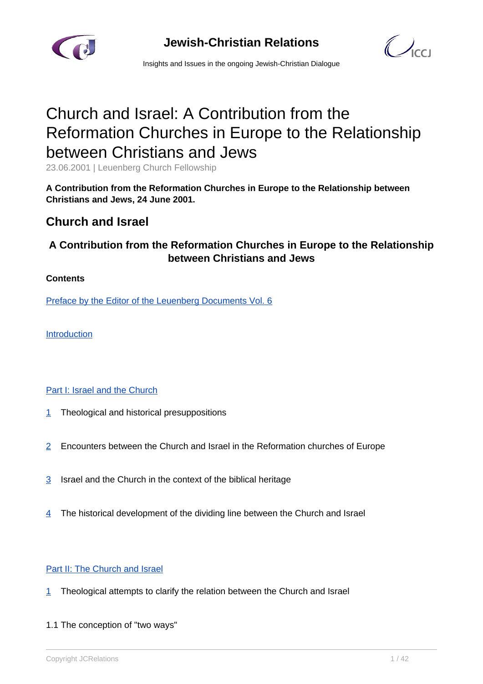

**Jewish-Christian Relations**



Insights and Issues in the ongoing Jewish-Christian Dialogue

# Church and Israel: A Contribution from the Reformation Churches in Europe to the Relationship between Christians and Jews

23.06.2001 | Leuenberg Church Fellowship

**A Contribution from the Reformation Churches in Europe to the Relationship between Christians and Jews, 24 June 2001.**

# **Church and Israel**

# **A Contribution from the Reformation Churches in Europe to the Relationship between Christians and Jews**

### **Contents**

Preface by the Editor of the Leuenberg Documents Vol. 6

Introduction

### Part I: Israel and the Church

- [1](http://#I.1) Theological and historical presuppositions
- [2](http://#I.2) Encounters between the Church and Israel in the Reformation churches of Europe
- [3](http://#I.3) Israel and the Church in the context of the biblical heritage
- $\frac{4}{1}$  The historical development of the dividing line between the Church and Israel

### Part II: The Church and Israel

- [1](http://#II.1) Theological attempts to clarify the relation between the Church and Israel
- 1.1 The conception of "two ways"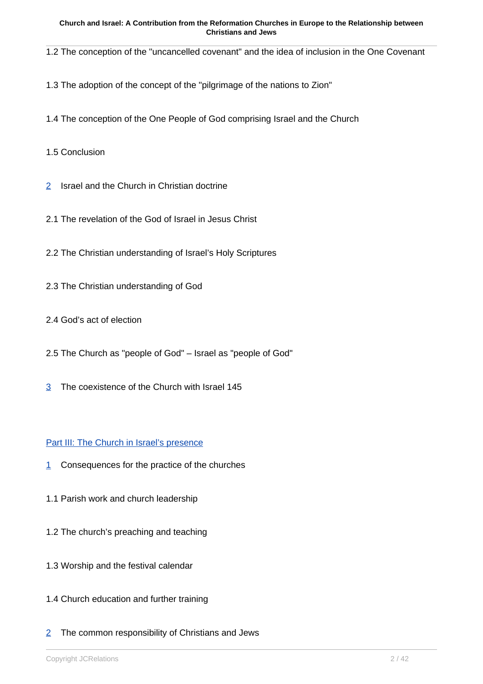1.2 The conception of the "uncancelled covenant" and the idea of inclusion in the One Covenant

- 1.3 The adoption of the concept of the "pilgrimage of the nations to Zion"
- 1.4 The conception of the One People of God comprising Israel and the Church
- 1.5 Conclusion
- [2](http://#II.2) Israel and the Church in Christian doctrine
- 2.1 The revelation of the God of Israel in Jesus Christ
- 2.2 The Christian understanding of Israel's Holy Scriptures
- 2.3 The Christian understanding of God
- 2.4 God's act of election
- 2.5 The Church as "people of God" Israel as "people of God"
- [3](http://#II.3) The coexistence of the Church with Israel 145

### Part III: The Church in Israel's presence

- [1](http://#III.1) Consequences for the practice of the churches
- 1.1 Parish work and church leadership
- 1.2 The church's preaching and teaching
- 1.3 Worship and the festival calendar
- 1.4 Church education and further training
- [2](http://#III.2) The common responsibility of Christians and Jews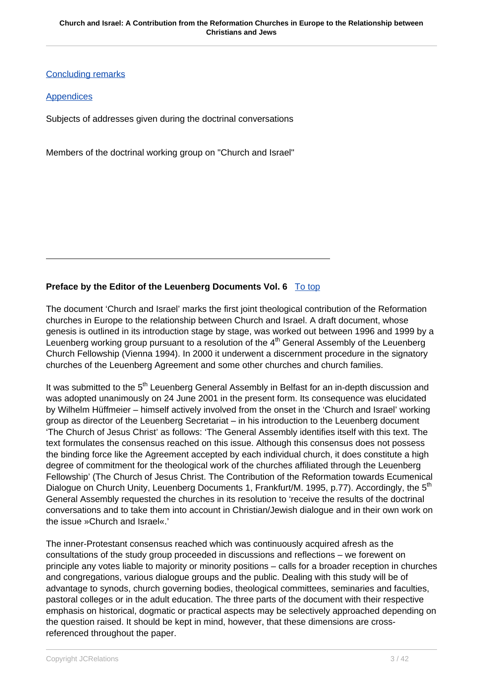Concluding remarks

### **Appendices**

Subjects of addresses given during the doctrinal conversations

Members of the doctrinal working group on "Church and Israel"

### **Preface by the Editor of the Leuenberg Documents Vol. 6** To top

The document 'Church and Israel' marks the first joint theological contribution of the Reformation churches in Europe to the relationship between Church and Israel. A draft document, whose genesis is outlined in its introduction stage by stage, was worked out between 1996 and 1999 by a Leuenberg working group pursuant to a resolution of the  $4<sup>th</sup>$  General Assembly of the Leuenberg Church Fellowship (Vienna 1994). In 2000 it underwent a discernment procedure in the signatory churches of the Leuenberg Agreement and some other churches and church families.

It was submitted to the 5<sup>th</sup> Leuenberg General Assembly in Belfast for an in-depth discussion and was adopted unanimously on 24 June 2001 in the present form. Its consequence was elucidated by Wilhelm Hüffmeier – himself actively involved from the onset in the 'Church and Israel' working group as director of the Leuenberg Secretariat – in his introduction to the Leuenberg document 'The Church of Jesus Christ' as follows: 'The General Assembly identifies itself with this text. The text formulates the consensus reached on this issue. Although this consensus does not possess the binding force like the Agreement accepted by each individual church, it does constitute a high degree of commitment for the theological work of the churches affiliated through the Leuenberg Fellowship' (The Church of Jesus Christ. The Contribution of the Reformation towards Ecumenical Dialogue on Church Unity, Leuenberg Documents 1, Frankfurt/M. 1995, p.77). Accordingly, the 5<sup>th</sup> General Assembly requested the churches in its resolution to 'receive the results of the doctrinal conversations and to take them into account in Christian/Jewish dialogue and in their own work on the issue »Church and Israel«.'

The inner-Protestant consensus reached which was continuously acquired afresh as the consultations of the study group proceeded in discussions and reflections – we forewent on principle any votes liable to majority or minority positions – calls for a broader reception in churches and congregations, various dialogue groups and the public. Dealing with this study will be of advantage to synods, church governing bodies, theological committees, seminaries and faculties, pastoral colleges or in the adult education. The three parts of the document with their respective emphasis on historical, dogmatic or practical aspects may be selectively approached depending on the question raised. It should be kept in mind, however, that these dimensions are crossreferenced throughout the paper.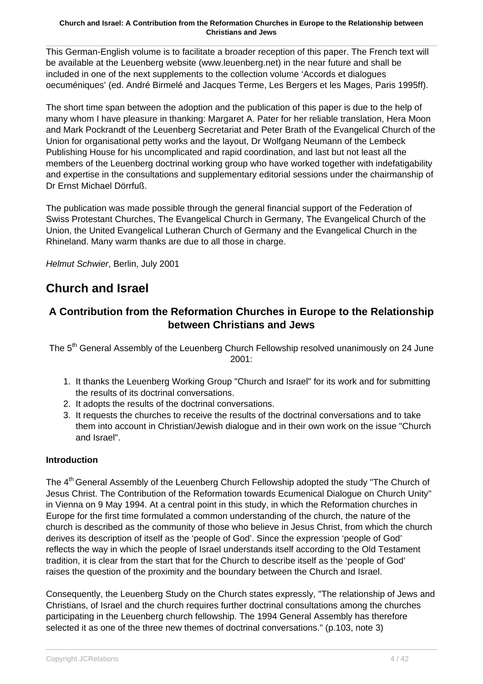This German-English volume is to facilitate a broader reception of this paper. The French text will be available at the Leuenberg website (www.leuenberg.net) in the near future and shall be included in one of the next supplements to the collection volume 'Accords et dialogues oecuméniques' (ed. André Birmelé and Jacques Terme, Les Bergers et les Mages, Paris 1995ff).

The short time span between the adoption and the publication of this paper is due to the help of many whom I have pleasure in thanking: Margaret A. Pater for her reliable translation, Hera Moon and Mark Pockrandt of the Leuenberg Secretariat and Peter Brath of the Evangelical Church of the Union for organisational petty works and the layout, Dr Wolfgang Neumann of the Lembeck Publishing House for his uncomplicated and rapid coordination, and last but not least all the members of the Leuenberg doctrinal working group who have worked together with indefatigability and expertise in the consultations and supplementary editorial sessions under the chairmanship of Dr Ernst Michael Dörrfuß.

The publication was made possible through the general financial support of the Federation of Swiss Protestant Churches, The Evangelical Church in Germany, The Evangelical Church of the Union, the United Evangelical Lutheran Church of Germany and the Evangelical Church in the Rhineland. Many warm thanks are due to all those in charge.

Helmut Schwier, Berlin, July 2001

# **Church and Israel**

# **A Contribution from the Reformation Churches in Europe to the Relationship between Christians and Jews**

The 5<sup>th</sup> General Assembly of the Leuenberg Church Fellowship resolved unanimously on 24 June 2001:

- 1. It thanks the Leuenberg Working Group "Church and Israel" for its work and for submitting the results of its doctrinal conversations.
- 2. It adopts the results of the doctrinal conversations.
- 3. It requests the churches to receive the results of the doctrinal conversations and to take them into account in Christian/Jewish dialogue and in their own work on the issue "Church and Israel".

### **Introduction**

The 4<sup>th</sup> General Assembly of the Leuenberg Church Fellowship adopted the study "The Church of Jesus Christ. The Contribution of the Reformation towards Ecumenical Dialogue on Church Unity" in Vienna on 9 May 1994. At a central point in this study, in which the Reformation churches in Europe for the first time formulated a common understanding of the church, the nature of the church is described as the community of those who believe in Jesus Christ, from which the church derives its description of itself as the 'people of God'. Since the expression 'people of God' reflects the way in which the people of Israel understands itself according to the Old Testament tradition, it is clear from the start that for the Church to describe itself as the 'people of God' raises the question of the proximity and the boundary between the Church and Israel.

Consequently, the Leuenberg Study on the Church states expressly, "The relationship of Jews and Christians, of Israel and the church requires further doctrinal consultations among the churches participating in the Leuenberg church fellowship. The 1994 General Assembly has therefore selected it as one of the three new themes of doctrinal conversations." (p.103, note 3)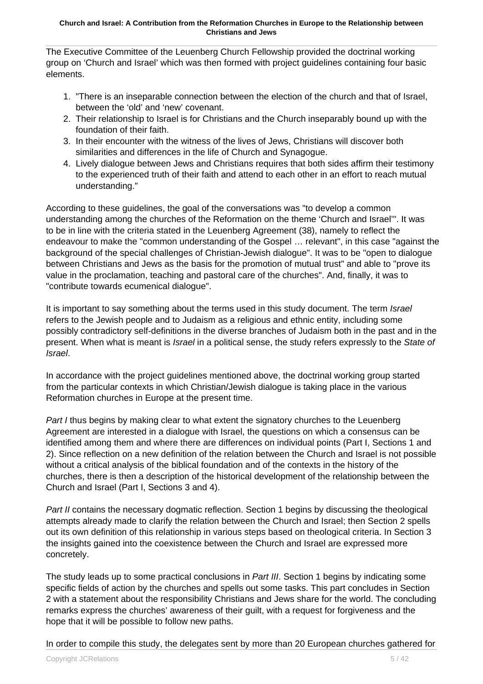The Executive Committee of the Leuenberg Church Fellowship provided the doctrinal working group on 'Church and Israel' which was then formed with project guidelines containing four basic elements.

- 1. "There is an inseparable connection between the election of the church and that of Israel, between the 'old' and 'new' covenant.
- 2. Their relationship to Israel is for Christians and the Church inseparably bound up with the foundation of their faith.
- 3. In their encounter with the witness of the lives of Jews, Christians will discover both similarities and differences in the life of Church and Synagogue.
- 4. Lively dialogue between Jews and Christians requires that both sides affirm their testimony to the experienced truth of their faith and attend to each other in an effort to reach mutual understanding."

According to these guidelines, the goal of the conversations was "to develop a common understanding among the churches of the Reformation on the theme 'Church and Israel'". It was to be in line with the criteria stated in the Leuenberg Agreement (38), namely to reflect the endeavour to make the "common understanding of the Gospel … relevant", in this case "against the background of the special challenges of Christian-Jewish dialogue". It was to be "open to dialogue between Christians and Jews as the basis for the promotion of mutual trust" and able to "prove its value in the proclamation, teaching and pastoral care of the churches". And, finally, it was to "contribute towards ecumenical dialogue".

It is important to say something about the terms used in this study document. The term *Israel* refers to the Jewish people and to Judaism as a religious and ethnic entity, including some possibly contradictory self-definitions in the diverse branches of Judaism both in the past and in the present. When what is meant is *Israel* in a political sense, the study refers expressly to the State of Israel.

In accordance with the project guidelines mentioned above, the doctrinal working group started from the particular contexts in which Christian/Jewish dialogue is taking place in the various Reformation churches in Europe at the present time.

Part I thus begins by making clear to what extent the signatory churches to the Leuenberg Agreement are interested in a dialogue with Israel, the questions on which a consensus can be identified among them and where there are differences on individual points (Part I, Sections 1 and 2). Since reflection on a new definition of the relation between the Church and Israel is not possible without a critical analysis of the biblical foundation and of the contexts in the history of the churches, there is then a description of the historical development of the relationship between the Church and Israel (Part I, Sections 3 and 4).

Part II contains the necessary dogmatic reflection. Section 1 begins by discussing the theological attempts already made to clarify the relation between the Church and Israel; then Section 2 spells out its own definition of this relationship in various steps based on theological criteria. In Section 3 the insights gained into the coexistence between the Church and Israel are expressed more concretely.

The study leads up to some practical conclusions in Part III. Section 1 begins by indicating some specific fields of action by the churches and spells out some tasks. This part concludes in Section 2 with a statement about the responsibility Christians and Jews share for the world. The concluding remarks express the churches' awareness of their guilt, with a request for forgiveness and the hope that it will be possible to follow new paths.

In order to compile this study, the delegates sent by more than 20 European churches gathered for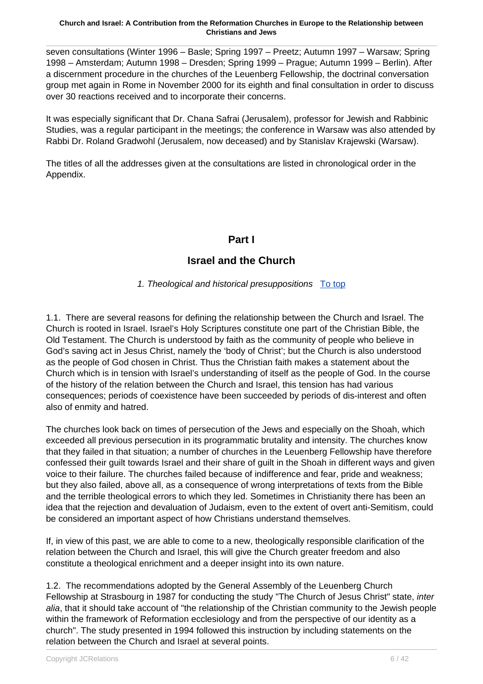seven consultations (Winter 1996 – Basle; Spring 1997 – Preetz; Autumn 1997 – Warsaw; Spring 1998 – Amsterdam; Autumn 1998 – Dresden; Spring 1999 – Prague; Autumn 1999 – Berlin). After a discernment procedure in the churches of the Leuenberg Fellowship, the doctrinal conversation group met again in Rome in November 2000 for its eighth and final consultation in order to discuss over 30 reactions received and to incorporate their concerns.

It was especially significant that Dr. Chana Safrai (Jerusalem), professor for Jewish and Rabbinic Studies, was a regular participant in the meetings; the conference in Warsaw was also attended by Rabbi Dr. Roland Gradwohl (Jerusalem, now deceased) and by Stanislav Krajewski (Warsaw).

The titles of all the addresses given at the consultations are listed in chronological order in the Appendix.

# **Part I**

# **Israel and the Church**

1. Theological and historical presuppositions To top

1.1. There are several reasons for defining the relationship between the Church and Israel. The Church is rooted in Israel. Israel's Holy Scriptures constitute one part of the Christian Bible, the Old Testament. The Church is understood by faith as the community of people who believe in God's saving act in Jesus Christ, namely the 'body of Christ'; but the Church is also understood as the people of God chosen in Christ. Thus the Christian faith makes a statement about the Church which is in tension with Israel's understanding of itself as the people of God. In the course of the history of the relation between the Church and Israel, this tension has had various consequences; periods of coexistence have been succeeded by periods of dis-interest and often also of enmity and hatred.

The churches look back on times of persecution of the Jews and especially on the Shoah, which exceeded all previous persecution in its programmatic brutality and intensity. The churches know that they failed in that situation; a number of churches in the Leuenberg Fellowship have therefore confessed their guilt towards Israel and their share of guilt in the Shoah in different ways and given voice to their failure. The churches failed because of indifference and fear, pride and weakness; but they also failed, above all, as a consequence of wrong interpretations of texts from the Bible and the terrible theological errors to which they led. Sometimes in Christianity there has been an idea that the rejection and devaluation of Judaism, even to the extent of overt anti-Semitism, could be considered an important aspect of how Christians understand themselves.

If, in view of this past, we are able to come to a new, theologically responsible clarification of the relation between the Church and Israel, this will give the Church greater freedom and also constitute a theological enrichment and a deeper insight into its own nature.

1.2. The recommendations adopted by the General Assembly of the Leuenberg Church Fellowship at Strasbourg in 1987 for conducting the study "The Church of Jesus Christ" state, inter alia, that it should take account of "the relationship of the Christian community to the Jewish people within the framework of Reformation ecclesiology and from the perspective of our identity as a church". The study presented in 1994 followed this instruction by including statements on the relation between the Church and Israel at several points.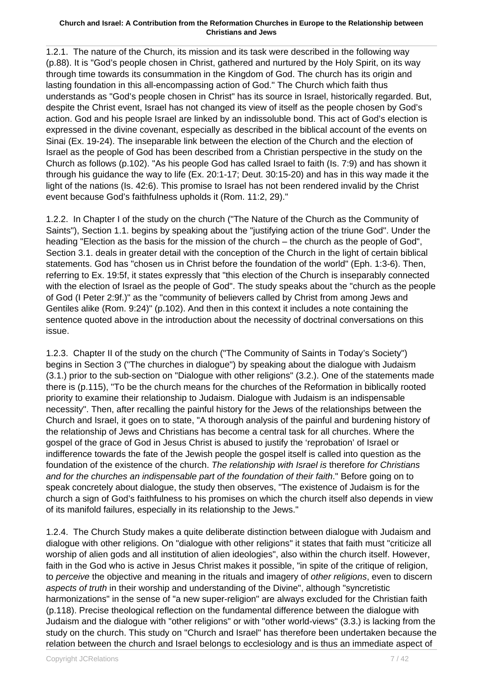1.2.1. The nature of the Church, its mission and its task were described in the following way (p.88). It is "God's people chosen in Christ, gathered and nurtured by the Holy Spirit, on its way through time towards its consummation in the Kingdom of God. The church has its origin and lasting foundation in this all-encompassing action of God." The Church which faith thus understands as "God's people chosen in Christ" has its source in Israel, historically regarded. But, despite the Christ event, Israel has not changed its view of itself as the people chosen by God's action. God and his people Israel are linked by an indissoluble bond. This act of God's election is expressed in the divine covenant, especially as described in the biblical account of the events on Sinai (Ex. 19-24). The inseparable link between the election of the Church and the election of Israel as the people of God has been described from a Christian perspective in the study on the Church as follows (p.102). "As his people God has called Israel to faith (Is. 7:9) and has shown it through his guidance the way to life (Ex. 20:1-17; Deut. 30:15-20) and has in this way made it the light of the nations (Is. 42:6). This promise to Israel has not been rendered invalid by the Christ event because God's faithfulness upholds it (Rom. 11:2, 29)."

1.2.2. In Chapter I of the study on the church ("The Nature of the Church as the Community of Saints"), Section 1.1. begins by speaking about the "justifying action of the triune God". Under the heading "Election as the basis for the mission of the church – the church as the people of God", Section 3.1. deals in greater detail with the conception of the Church in the light of certain biblical statements. God has "chosen us in Christ before the foundation of the world" (Eph. 1:3-6). Then, referring to Ex. 19:5f, it states expressly that "this election of the Church is inseparably connected with the election of Israel as the people of God". The study speaks about the "church as the people of God (I Peter 2:9f.)" as the "community of believers called by Christ from among Jews and Gentiles alike (Rom. 9:24)" (p.102). And then in this context it includes a note containing the sentence quoted above in the introduction about the necessity of doctrinal conversations on this issue.

1.2.3.Chapter II of the study on the church ("The Community of Saints in Today's Society") begins in Section 3 ("The churches in dialogue") by speaking about the dialogue with Judaism (3.1.) prior to the sub-section on "Dialogue with other religions" (3.2.). One of the statements made there is (p.115), "To be the church means for the churches of the Reformation in biblically rooted priority to examine their relationship to Judaism. Dialogue with Judaism is an indispensable necessity". Then, after recalling the painful history for the Jews of the relationships between the Church and Israel, it goes on to state, "A thorough analysis of the painful and burdening history of the relationship of Jews and Christians has become a central task for all churches. Where the gospel of the grace of God in Jesus Christ is abused to justify the 'reprobation' of Israel or indifference towards the fate of the Jewish people the gospel itself is called into question as the foundation of the existence of the church. The relationship with Israel is therefore for Christians and for the churches an indispensable part of the foundation of their faith." Before going on to speak concretely about dialogue, the study then observes, "The existence of Judaism is for the church a sign of God's faithfulness to his promises on which the church itself also depends in view of its manifold failures, especially in its relationship to the Jews."

1.2.4. The Church Study makes a quite deliberate distinction between dialogue with Judaism and dialogue with other religions. On "dialogue with other religions" it states that faith must "criticize all worship of alien gods and all institution of alien ideologies", also within the church itself. However, faith in the God who is active in Jesus Christ makes it possible, "in spite of the critique of religion, to perceive the objective and meaning in the rituals and imagery of other religions, even to discern aspects of truth in their worship and understanding of the Divine", although "syncretistic harmonizations" in the sense of "a new super-religion" are always excluded for the Christian faith (p.118). Precise theological reflection on the fundamental difference between the dialogue with Judaism and the dialogue with "other religions" or with "other world-views" (3.3.) is lacking from the study on the church. This study on "Church and Israel" has therefore been undertaken because the relation between the church and Israel belongs to ecclesiology and is thus an immediate aspect of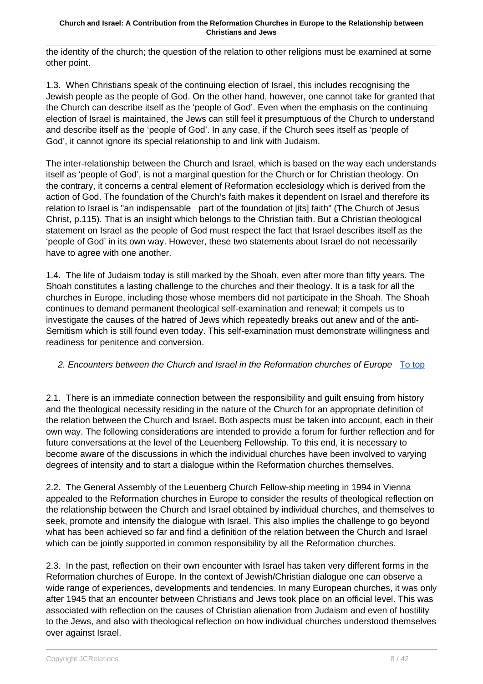the identity of the church; the question of the relation to other religions must be examined at some other point.

1.3. When Christians speak of the continuing election of Israel, this includes recognising the Jewish people as the people of God. On the other hand, however, one cannot take for granted that the Church can describe itself as the 'people of God'. Even when the emphasis on the continuing election of Israel is maintained, the Jews can still feel it presumptuous of the Church to understand and describe itself as the 'people of God'. In any case, if the Church sees itself as 'people of God', it cannot ignore its special relationship to and link with Judaism.

The inter-relationship between the Church and Israel, which is based on the way each understands itself as 'people of God', is not a marginal question for the Church or for Christian theology. On the contrary, it concerns a central element of Reformation ecclesiology which is derived from the action of God. The foundation of the Church's faith makes it dependent on Israel and therefore its relation to Israel is "an indispensable part of the foundation of [its] faith" (The Church of Jesus Christ, p.115). That is an insight which belongs to the Christian faith. But a Christian theological statement on Israel as the people of God must respect the fact that Israel describes itself as the 'people of God' in its own way. However, these two statements about Israel do not necessarily have to agree with one another.

1.4. The life of Judaism today is still marked by the Shoah, even after more than fifty years. The Shoah constitutes a lasting challenge to the churches and their theology. It is a task for all the churches in Europe, including those whose members did not participate in the Shoah. The Shoah continues to demand permanent theological self-examination and renewal; it compels us to investigate the causes of the hatred of Jews which repeatedly breaks out anew and of the anti-Semitism which is still found even today. This self-examination must demonstrate willingness and readiness for penitence and conversion.

### 2. Encounters between the Church and Israel in the Reformation churches of Europe  $\overline{Io}$  top

2.1. There is an immediate connection between the responsibility and guilt ensuing from history and the theological necessity residing in the nature of the Church for an appropriate definition of the relation between the Church and Israel. Both aspects must be taken into account, each in their own way. The following considerations are intended to provide a forum for further reflection and for future conversations at the level of the Leuenberg Fellowship. To this end, it is necessary to become aware of the discussions in which the individual churches have been involved to varying degrees of intensity and to start a dialogue within the Reformation churches themselves.

2.2. The General Assembly of the Leuenberg Church Fellow-ship meeting in 1994 in Vienna appealed to the Reformation churches in Europe to consider the results of theological reflection on the relationship between the Church and Israel obtained by individual churches, and themselves to seek, promote and intensify the dialogue with Israel. This also implies the challenge to go beyond what has been achieved so far and find a definition of the relation between the Church and Israel which can be jointly supported in common responsibility by all the Reformation churches.

2.3. In the past, reflection on their own encounter with Israel has taken very different forms in the Reformation churches of Europe. In the context of Jewish/Christian dialogue one can observe a wide range of experiences, developments and tendencies. In many European churches, it was only after 1945 that an encounter between Christians and Jews took place on an official level. This was associated with reflection on the causes of Christian alienation from Judaism and even of hostility to the Jews, and also with theological reflection on how individual churches understood themselves over against Israel.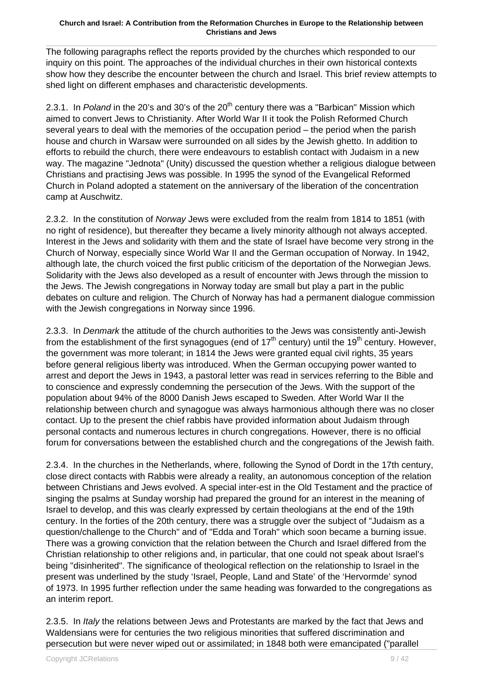The following paragraphs reflect the reports provided by the churches which responded to our inquiry on this point. The approaches of the individual churches in their own historical contexts show how they describe the encounter between the church and Israel. This brief review attempts to shed light on different emphases and characteristic developments.

2.3.1. In Poland in the 20's and 30's of the  $20<sup>th</sup>$  century there was a "Barbican" Mission which aimed to convert Jews to Christianity. After World War II it took the Polish Reformed Church several years to deal with the memories of the occupation period – the period when the parish house and church in Warsaw were surrounded on all sides by the Jewish ghetto. In addition to efforts to rebuild the church, there were endeavours to establish contact with Judaism in a new way. The magazine "Jednota" (Unity) discussed the question whether a religious dialogue between Christians and practising Jews was possible. In 1995 the synod of the Evangelical Reformed Church in Poland adopted a statement on the anniversary of the liberation of the concentration camp at Auschwitz.

2.3.2. In the constitution of Norway Jews were excluded from the realm from 1814 to 1851 (with no right of residence), but thereafter they became a lively minority although not always accepted. Interest in the Jews and solidarity with them and the state of Israel have become very strong in the Church of Norway, especially since World War II and the German occupation of Norway. In 1942, although late, the church voiced the first public criticism of the deportation of the Norwegian Jews. Solidarity with the Jews also developed as a result of encounter with Jews through the mission to the Jews. The Jewish congregations in Norway today are small but play a part in the public debates on culture and religion. The Church of Norway has had a permanent dialogue commission with the Jewish congregations in Norway since 1996.

2.3.3. In Denmark the attitude of the church authorities to the Jews was consistently anti-Jewish from the establishment of the first synagogues (end of  $17<sup>th</sup>$  century) until the  $19<sup>th</sup>$  century. However, the government was more tolerant; in 1814 the Jews were granted equal civil rights, 35 years before general religious liberty was introduced. When the German occupying power wanted to arrest and deport the Jews in 1943, a pastoral letter was read in services referring to the Bible and to conscience and expressly condemning the persecution of the Jews. With the support of the population about 94% of the 8000 Danish Jews escaped to Sweden. After World War II the relationship between church and synagogue was always harmonious although there was no closer contact. Up to the present the chief rabbis have provided information about Judaism through personal contacts and numerous lectures in church congregations. However, there is no official forum for conversations between the established church and the congregations of the Jewish faith.

2.3.4. In the churches in the Netherlands, where, following the Synod of Dordt in the 17th century, close direct contacts with Rabbis were already a reality, an autonomous conception of the relation between Christians and Jews evolved. A special inter-est in the Old Testament and the practice of singing the psalms at Sunday worship had prepared the ground for an interest in the meaning of Israel to develop, and this was clearly expressed by certain theologians at the end of the 19th century. In the forties of the 20th century, there was a struggle over the subject of "Judaism as a question/challenge to the Church" and of "Edda and Torah" which soon became a burning issue. There was a growing conviction that the relation between the Church and Israel differed from the Christian relationship to other religions and, in particular, that one could not speak about Israel's being "disinherited". The significance of theological reflection on the relationship to Israel in the present was underlined by the study 'Israel, People, Land and State' of the 'Hervormde' synod of 1973. In 1995 further reflection under the same heading was forwarded to the congregations as an interim report.

2.3.5. In Italy the relations between Jews and Protestants are marked by the fact that Jews and Waldensians were for centuries the two religious minorities that suffered discrimination and persecution but were never wiped out or assimilated; in 1848 both were emancipated ("parallel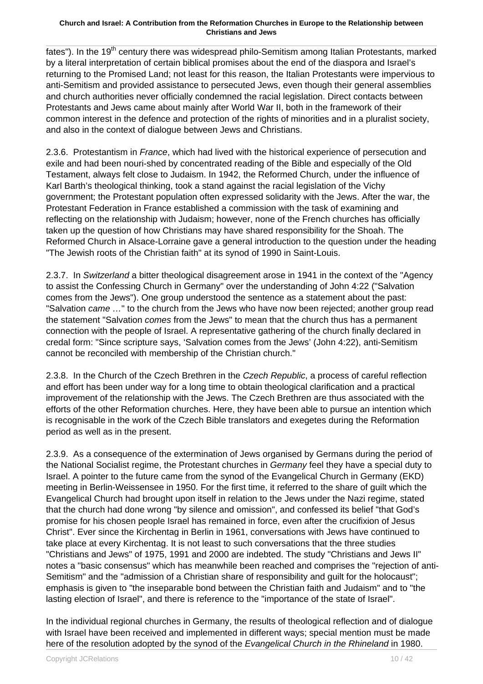fates"). In the 19<sup>th</sup> century there was widespread philo-Semitism among Italian Protestants, marked by a literal interpretation of certain biblical promises about the end of the diaspora and Israel's returning to the Promised Land; not least for this reason, the Italian Protestants were impervious to anti-Semitism and provided assistance to persecuted Jews, even though their general assemblies and church authorities never officially condemned the racial legislation. Direct contacts between Protestants and Jews came about mainly after World War II, both in the framework of their common interest in the defence and protection of the rights of minorities and in a pluralist society, and also in the context of dialogue between Jews and Christians.

2.3.6. Protestantism in France, which had lived with the historical experience of persecution and exile and had been nouri-shed by concentrated reading of the Bible and especially of the Old Testament, always felt close to Judaism. In 1942, the Reformed Church, under the influence of Karl Barth's theological thinking, took a stand against the racial legislation of the Vichy government; the Protestant population often expressed solidarity with the Jews. After the war, the Protestant Federation in France established a commission with the task of examining and reflecting on the relationship with Judaism; however, none of the French churches has officially taken up the question of how Christians may have shared responsibility for the Shoah. The Reformed Church in Alsace-Lorraine gave a general introduction to the question under the heading "The Jewish roots of the Christian faith" at its synod of 1990 in Saint-Louis.

2.3.7. In Switzerland a bitter theological disagreement arose in 1941 in the context of the "Agency to assist the Confessing Church in Germany" over the understanding of John 4:22 ("Salvation comes from the Jews"). One group understood the sentence as a statement about the past: "Salvation came ..." to the church from the Jews who have now been rejected; another group read the statement "Salvation comes from the Jews" to mean that the church thus has a permanent connection with the people of Israel. A representative gathering of the church finally declared in credal form: "Since scripture says, 'Salvation comes from the Jews' (John 4:22), anti-Semitism cannot be reconciled with membership of the Christian church."

2.3.8. In the Church of the Czech Brethren in the Czech Republic, a process of careful reflection and effort has been under way for a long time to obtain theological clarification and a practical improvement of the relationship with the Jews. The Czech Brethren are thus associated with the efforts of the other Reformation churches. Here, they have been able to pursue an intention which is recognisable in the work of the Czech Bible translators and exegetes during the Reformation period as well as in the present.

2.3.9. As a consequence of the extermination of Jews organised by Germans during the period of the National Socialist regime, the Protestant churches in Germany feel they have a special duty to Israel. A pointer to the future came from the synod of the Evangelical Church in Germany (EKD) meeting in Berlin-Weissensee in 1950. For the first time, it referred to the share of guilt which the Evangelical Church had brought upon itself in relation to the Jews under the Nazi regime, stated that the church had done wrong "by silence and omission", and confessed its belief "that God's promise for his chosen people Israel has remained in force, even after the crucifixion of Jesus Christ". Ever since the Kirchentag in Berlin in 1961, conversations with Jews have continued to take place at every Kirchentag. It is not least to such conversations that the three studies "Christians and Jews" of 1975, 1991 and 2000 are indebted. The study "Christians and Jews II" notes a "basic consensus" which has meanwhile been reached and comprises the "rejection of anti-Semitism" and the "admission of a Christian share of responsibility and guilt for the holocaust"; emphasis is given to "the inseparable bond between the Christian faith and Judaism" and to "the lasting election of Israel", and there is reference to the "importance of the state of Israel".

In the individual regional churches in Germany, the results of theological reflection and of dialogue with Israel have been received and implemented in different ways; special mention must be made here of the resolution adopted by the synod of the Evangelical Church in the Rhineland in 1980.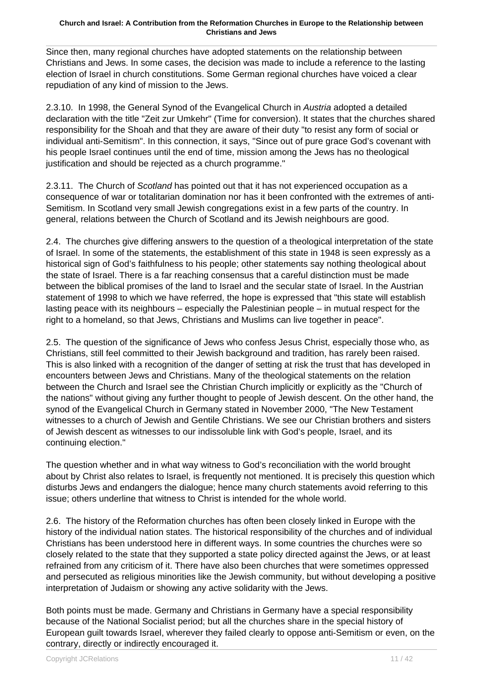Since then, many regional churches have adopted statements on the relationship between Christians and Jews. In some cases, the decision was made to include a reference to the lasting election of Israel in church constitutions. Some German regional churches have voiced a clear repudiation of any kind of mission to the Jews.

2.3.10. In 1998, the General Synod of the Evangelical Church in Austria adopted a detailed declaration with the title "Zeit zur Umkehr" (Time for conversion). It states that the churches shared responsibility for the Shoah and that they are aware of their duty "to resist any form of social or individual anti-Semitism". In this connection, it says, "Since out of pure grace God's covenant with his people Israel continues until the end of time, mission among the Jews has no theological justification and should be rejected as a church programme."

2.3.11. The Church of Scotland has pointed out that it has not experienced occupation as a consequence of war or totalitarian domination nor has it been confronted with the extremes of anti-Semitism. In Scotland very small Jewish congregations exist in a few parts of the country. In general, relations between the Church of Scotland and its Jewish neighbours are good.

2.4. The churches give differing answers to the question of a theological interpretation of the state of Israel. In some of the statements, the establishment of this state in 1948 is seen expressly as a historical sign of God's faithfulness to his people; other statements say nothing theological about the state of Israel. There is a far reaching consensus that a careful distinction must be made between the biblical promises of the land to Israel and the secular state of Israel. In the Austrian statement of 1998 to which we have referred, the hope is expressed that "this state will establish lasting peace with its neighbours – especially the Palestinian people – in mutual respect for the right to a homeland, so that Jews, Christians and Muslims can live together in peace".

2.5. The question of the significance of Jews who confess Jesus Christ, especially those who, as Christians, still feel committed to their Jewish background and tradition, has rarely been raised. This is also linked with a recognition of the danger of setting at risk the trust that has developed in encounters between Jews and Christians. Many of the theological statements on the relation between the Church and Israel see the Christian Church implicitly or explicitly as the "Church of the nations" without giving any further thought to people of Jewish descent. On the other hand, the synod of the Evangelical Church in Germany stated in November 2000, "The New Testament witnesses to a church of Jewish and Gentile Christians. We see our Christian brothers and sisters of Jewish descent as witnesses to our indissoluble link with God's people, Israel, and its continuing election."

The question whether and in what way witness to God's reconciliation with the world brought about by Christ also relates to Israel, is frequently not mentioned. It is precisely this question which disturbs Jews and endangers the dialogue; hence many church statements avoid referring to this issue; others underline that witness to Christ is intended for the whole world.

2.6. The history of the Reformation churches has often been closely linked in Europe with the history of the individual nation states. The historical responsibility of the churches and of individual Christians has been understood here in different ways. In some countries the churches were so closely related to the state that they supported a state policy directed against the Jews, or at least refrained from any criticism of it. There have also been churches that were sometimes oppressed and persecuted as religious minorities like the Jewish community, but without developing a positive interpretation of Judaism or showing any active solidarity with the Jews.

Both points must be made. Germany and Christians in Germany have a special responsibility because of the National Socialist period; but all the churches share in the special history of European guilt towards Israel, wherever they failed clearly to oppose anti-Semitism or even, on the contrary, directly or indirectly encouraged it.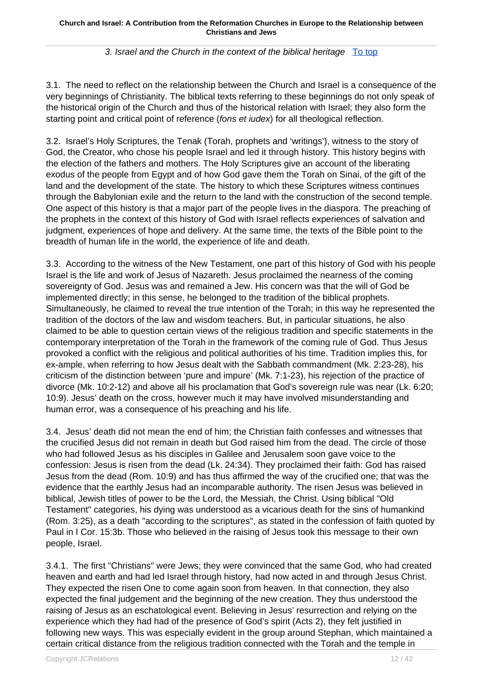### 3. Israel and the Church in the context of the biblical heritage To top

3.1. The need to reflect on the relationship between the Church and Israel is a consequence of the very beginnings of Christianity. The biblical texts referring to these beginnings do not only speak of the historical origin of the Church and thus of the historical relation with Israel; they also form the starting point and critical point of reference (fons et iudex) for all theological reflection.

3.2.Israel's Holy Scriptures, the Tenak (Torah, prophets and 'writings'), witness to the story of God, the Creator, who chose his people Israel and led it through history. This history begins with the election of the fathers and mothers. The Holy Scriptures give an account of the liberating exodus of the people from Egypt and of how God gave them the Torah on Sinai, of the gift of the land and the development of the state. The history to which these Scriptures witness continues through the Babylonian exile and the return to the land with the construction of the second temple. One aspect of this history is that a major part of the people lives in the diaspora. The preaching of the prophets in the context of this history of God with Israel reflects experiences of salvation and judgment, experiences of hope and delivery. At the same time, the texts of the Bible point to the breadth of human life in the world, the experience of life and death.

3.3. According to the witness of the New Testament, one part of this history of God with his people Israel is the life and work of Jesus of Nazareth. Jesus proclaimed the nearness of the coming sovereignty of God. Jesus was and remained a Jew. His concern was that the will of God be implemented directly; in this sense, he belonged to the tradition of the biblical prophets. Simultaneously, he claimed to reveal the true intention of the Torah; in this way he represented the tradition of the doctors of the law and wisdom teachers. But, in particular situations, he also claimed to be able to question certain views of the religious tradition and specific statements in the contemporary interpretation of the Torah in the framework of the coming rule of God. Thus Jesus provoked a conflict with the religious and political authorities of his time. Tradition implies this, for ex-ample, when referring to how Jesus dealt with the Sabbath commandment (Mk. 2:23-28), his criticism of the distinction between 'pure and impure' (Mk. 7:1-23), his rejection of the practice of divorce (Mk. 10:2-12) and above all his proclamation that God's sovereign rule was near (Lk. 6:20; 10:9). Jesus' death on the cross, however much it may have involved misunderstanding and human error, was a consequence of his preaching and his life.

3.4. Jesus' death did not mean the end of him; the Christian faith confesses and witnesses that the crucified Jesus did not remain in death but God raised him from the dead. The circle of those who had followed Jesus as his disciples in Galilee and Jerusalem soon gave voice to the confession: Jesus is risen from the dead (Lk. 24:34). They proclaimed their faith: God has raised Jesus from the dead (Rom. 10:9) and has thus affirmed the way of the crucified one; that was the evidence that the earthly Jesus had an incomparable authority. The risen Jesus was believed in biblical, Jewish titles of power to be the Lord, the Messiah, the Christ. Using biblical "Old Testament" categories, his dying was understood as a vicarious death for the sins of humankind (Rom. 3:25), as a death "according to the scriptures", as stated in the confession of faith quoted by Paul in I Cor. 15:3b. Those who believed in the raising of Jesus took this message to their own people, Israel.

3.4.1. The first "Christians" were Jews; they were convinced that the same God, who had created heaven and earth and had led Israel through history, had now acted in and through Jesus Christ. They expected the risen One to come again soon from heaven. In that connection, they also expected the final judgement and the beginning of the new creation. They thus understood the raising of Jesus as an eschatological event. Believing in Jesus' resurrection and relying on the experience which they had had of the presence of God's spirit (Acts 2), they felt justified in following new ways. This was especially evident in the group around Stephan, which maintained a certain critical distance from the religious tradition connected with the Torah and the temple in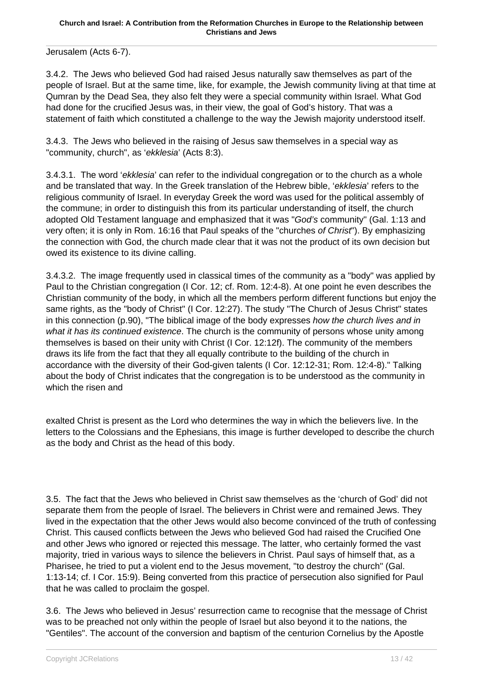Jerusalem (Acts 6-7).

3.4.2.The Jews who believed God had raised Jesus naturally saw themselves as part of the people of Israel. But at the same time, like, for example, the Jewish community living at that time at Qumran by the Dead Sea, they also felt they were a special community within Israel. What God had done for the crucified Jesus was, in their view, the goal of God's history. That was a statement of faith which constituted a challenge to the way the Jewish majority understood itself.

3.4.3.The Jews who believed in the raising of Jesus saw themselves in a special way as "community, church", as 'ekklesia' (Acts 8:3).

3.4.3.1.The word 'ekklesia' can refer to the individual congregation or to the church as a whole and be translated that way. In the Greek translation of the Hebrew bible, 'ekklesia' refers to the religious community of Israel. In everyday Greek the word was used for the political assembly of the commune; in order to distinguish this from its particular understanding of itself, the church adopted Old Testament language and emphasized that it was "God's community" (Gal. 1:13 and very often; it is only in Rom. 16:16 that Paul speaks of the "churches of Christ"). By emphasizing the connection with God, the church made clear that it was not the product of its own decision but owed its existence to its divine calling.

3.4.3.2.The image frequently used in classical times of the community as a "body" was applied by Paul to the Christian congregation (I Cor. 12; cf. Rom. 12:4-8). At one point he even describes the Christian community of the body, in which all the members perform different functions but enjoy the same rights, as the "body of Christ" (I Cor. 12:27). The study "The Church of Jesus Christ" states in this connection (p.90), "The biblical image of the body expresses how the church lives and in what it has its continued existence. The church is the community of persons whose unity among themselves is based on their unity with Christ (I Cor. 12:12f). The community of the members draws its life from the fact that they all equally contribute to the building of the church in accordance with the diversity of their God-given talents (I Cor. 12:12-31; Rom. 12:4-8)." Talking about the body of Christ indicates that the congregation is to be understood as the community in which the risen and

exalted Christ is present as the Lord who determines the way in which the believers live. In the letters to the Colossians and the Ephesians, this image is further developed to describe the church as the body and Christ as the head of this body.

3.5. The fact that the Jews who believed in Christ saw themselves as the 'church of God' did not separate them from the people of Israel. The believers in Christ were and remained Jews. They lived in the expectation that the other Jews would also become convinced of the truth of confessing Christ. This caused conflicts between the Jews who believed God had raised the Crucified One and other Jews who ignored or rejected this message. The latter, who certainly formed the vast majority, tried in various ways to silence the believers in Christ. Paul says of himself that, as a Pharisee, he tried to put a violent end to the Jesus movement, "to destroy the church" (Gal. 1:13-14; cf. I Cor. 15:9). Being converted from this practice of persecution also signified for Paul that he was called to proclaim the gospel.

3.6. The Jews who believed in Jesus' resurrection came to recognise that the message of Christ was to be preached not only within the people of Israel but also beyond it to the nations, the "Gentiles". The account of the conversion and baptism of the centurion Cornelius by the Apostle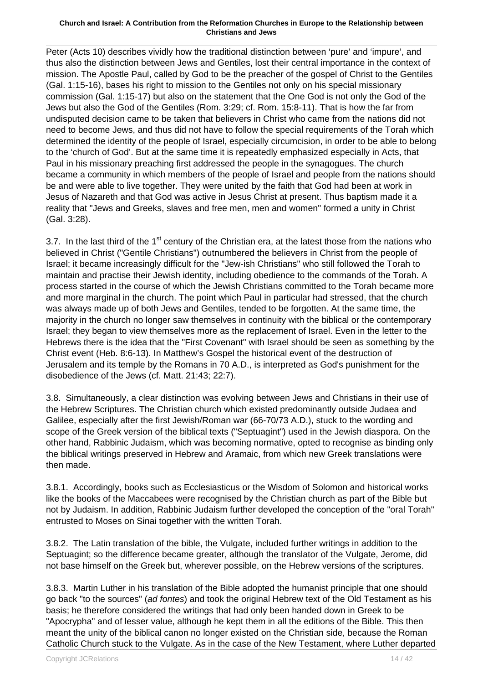Peter (Acts 10) describes vividly how the traditional distinction between 'pure' and 'impure', and thus also the distinction between Jews and Gentiles, lost their central importance in the context of mission. The Apostle Paul, called by God to be the preacher of the gospel of Christ to the Gentiles (Gal. 1:15-16), bases his right to mission to the Gentiles not only on his special missionary commission (Gal. 1:15-17) but also on the statement that the One God is not only the God of the Jews but also the God of the Gentiles (Rom. 3:29; cf. Rom. 15:8-11). That is how the far from undisputed decision came to be taken that believers in Christ who came from the nations did not need to become Jews, and thus did not have to follow the special requirements of the Torah which determined the identity of the people of Israel, especially circumcision, in order to be able to belong to the 'church of God'. But at the same time it is repeatedly emphasized especially in Acts, that Paul in his missionary preaching first addressed the people in the synagogues. The church became a community in which members of the people of Israel and people from the nations should be and were able to live together. They were united by the faith that God had been at work in Jesus of Nazareth and that God was active in Jesus Christ at present. Thus baptism made it a reality that "Jews and Greeks, slaves and free men, men and women" formed a unity in Christ (Gal. 3:28).

3.7. In the last third of the  $1<sup>st</sup>$  century of the Christian era, at the latest those from the nations who believed in Christ ("Gentile Christians") outnumbered the believers in Christ from the people of Israel; it became increasingly difficult for the "Jew-ish Christians" who still followed the Torah to maintain and practise their Jewish identity, including obedience to the commands of the Torah. A process started in the course of which the Jewish Christians committed to the Torah became more and more marginal in the church. The point which Paul in particular had stressed, that the church was always made up of both Jews and Gentiles, tended to be forgotten. At the same time, the majority in the church no longer saw themselves in continuity with the biblical or the contemporary Israel; they began to view themselves more as the replacement of Israel. Even in the letter to the Hebrews there is the idea that the "First Covenant" with Israel should be seen as something by the Christ event (Heb. 8:6-13). In Matthew's Gospel the historical event of the destruction of Jerusalem and its temple by the Romans in 70 A.D., is interpreted as God's punishment for the disobedience of the Jews (cf. Matt. 21:43; 22:7).

3.8. Simultaneously, a clear distinction was evolving between Jews and Christians in their use of the Hebrew Scriptures. The Christian church which existed predominantly outside Judaea and Galilee, especially after the first Jewish/Roman war (66-70/73 A.D.), stuck to the wording and scope of the Greek version of the biblical texts ("Septuagint") used in the Jewish diaspora. On the other hand, Rabbinic Judaism, which was becoming normative, opted to recognise as binding only the biblical writings preserved in Hebrew and Aramaic, from which new Greek translations were then made.

3.8.1. Accordingly, books such as Ecclesiasticus or the Wisdom of Solomon and historical works like the books of the Maccabees were recognised by the Christian church as part of the Bible but not by Judaism. In addition, Rabbinic Judaism further developed the conception of the "oral Torah" entrusted to Moses on Sinai together with the written Torah.

3.8.2. The Latin translation of the bible, the Vulgate, included further writings in addition to the Septuagint; so the difference became greater, although the translator of the Vulgate, Jerome, did not base himself on the Greek but, wherever possible, on the Hebrew versions of the scriptures.

3.8.3. Martin Luther in his translation of the Bible adopted the humanist principle that one should go back "to the sources" (ad fontes) and took the original Hebrew text of the Old Testament as his basis; he therefore considered the writings that had only been handed down in Greek to be "Apocrypha" and of lesser value, although he kept them in all the editions of the Bible. This then meant the unity of the biblical canon no longer existed on the Christian side, because the Roman Catholic Church stuck to the Vulgate. As in the case of the New Testament, where Luther departed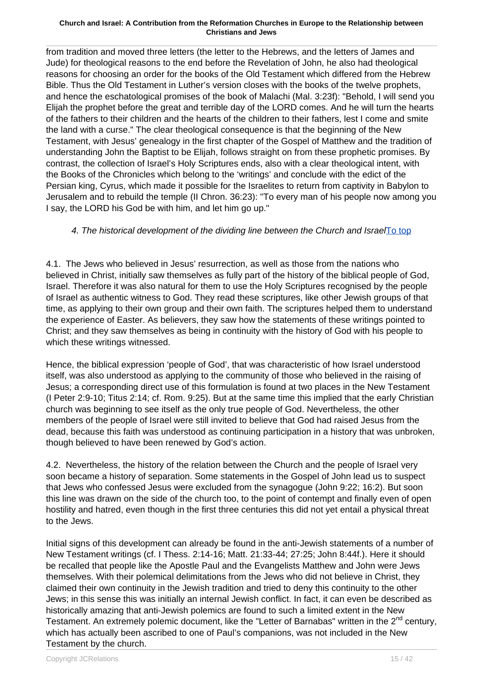from tradition and moved three letters (the letter to the Hebrews, and the letters of James and Jude) for theological reasons to the end before the Revelation of John, he also had theological reasons for choosing an order for the books of the Old Testament which differed from the Hebrew Bible. Thus the Old Testament in Luther's version closes with the books of the twelve prophets, and hence the eschatological promises of the book of Malachi (Mal. 3:23f): "Behold, I will send you Elijah the prophet before the great and terrible day of the LORD comes. And he will turn the hearts of the fathers to their children and the hearts of the children to their fathers, lest I come and smite the land with a curse." The clear theological consequence is that the beginning of the New Testament, with Jesus' genealogy in the first chapter of the Gospel of Matthew and the tradition of understanding John the Baptist to be Elijah, follows straight on from these prophetic promises. By contrast, the collection of Israel's Holy Scriptures ends, also with a clear theological intent, with the Books of the Chronicles which belong to the 'writings' and conclude with the edict of the Persian king, Cyrus, which made it possible for the Israelites to return from captivity in Babylon to Jerusalem and to rebuild the temple (II Chron. 36:23): "To every man of his people now among you I say, the LORD his God be with him, and let him go up."

### 4. The historical development of the dividing line between the Church and IsraelTo top

4.1. The Jews who believed in Jesus' resurrection, as well as those from the nations who believed in Christ, initially saw themselves as fully part of the history of the biblical people of God, Israel. Therefore it was also natural for them to use the Holy Scriptures recognised by the people of Israel as authentic witness to God. They read these scriptures, like other Jewish groups of that time, as applying to their own group and their own faith. The scriptures helped them to understand the experience of Easter. As believers, they saw how the statements of these writings pointed to Christ; and they saw themselves as being in continuity with the history of God with his people to which these writings witnessed.

Hence, the biblical expression 'people of God', that was characteristic of how Israel understood itself, was also understood as applying to the community of those who believed in the raising of Jesus; a corresponding direct use of this formulation is found at two places in the New Testament (I Peter 2:9-10; Titus 2:14; cf. Rom. 9:25). But at the same time this implied that the early Christian church was beginning to see itself as the only true people of God. Nevertheless, the other members of the people of Israel were still invited to believe that God had raised Jesus from the dead, because this faith was understood as continuing participation in a history that was unbroken, though believed to have been renewed by God's action.

4.2. Nevertheless, the history of the relation between the Church and the people of Israel very soon became a history of separation. Some statements in the Gospel of John lead us to suspect that Jews who confessed Jesus were excluded from the synagogue (John 9:22; 16:2). But soon this line was drawn on the side of the church too, to the point of contempt and finally even of open hostility and hatred, even though in the first three centuries this did not yet entail a physical threat to the Jews.

Initial signs of this development can already be found in the anti-Jewish statements of a number of New Testament writings (cf. I Thess. 2:14-16; Matt. 21:33-44; 27:25; John 8:44f.). Here it should be recalled that people like the Apostle Paul and the Evangelists Matthew and John were Jews themselves. With their polemical delimitations from the Jews who did not believe in Christ, they claimed their own continuity in the Jewish tradition and tried to deny this continuity to the other Jews; in this sense this was initially an internal Jewish conflict. In fact, it can even be described as historically amazing that anti-Jewish polemics are found to such a limited extent in the New Testament. An extremely polemic document, like the "Letter of Barnabas" written in the 2<sup>nd</sup> century, which has actually been ascribed to one of Paul's companions, was not included in the New Testament by the church.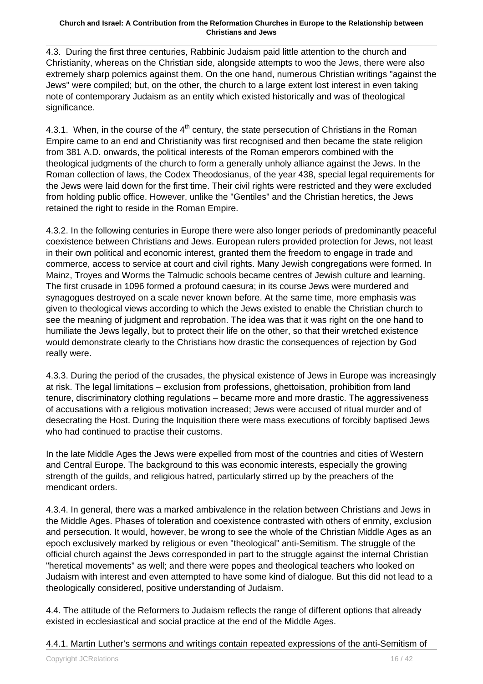4.3. During the first three centuries, Rabbinic Judaism paid little attention to the church and Christianity, whereas on the Christian side, alongside attempts to woo the Jews, there were also extremely sharp polemics against them. On the one hand, numerous Christian writings "against the Jews" were compiled; but, on the other, the church to a large extent lost interest in even taking note of contemporary Judaism as an entity which existed historically and was of theological significance.

4.3.1. When, in the course of the  $4<sup>th</sup>$  century, the state persecution of Christians in the Roman Empire came to an end and Christianity was first recognised and then became the state religion from 381 A.D. onwards, the political interests of the Roman emperors combined with the theological judgments of the church to form a generally unholy alliance against the Jews. In the Roman collection of laws, the Codex Theodosianus, of the year 438, special legal requirements for the Jews were laid down for the first time. Their civil rights were restricted and they were excluded from holding public office. However, unlike the "Gentiles" and the Christian heretics, the Jews retained the right to reside in the Roman Empire.

4.3.2. In the following centuries in Europe there were also longer periods of predominantly peaceful coexistence between Christians and Jews. European rulers provided protection for Jews, not least in their own political and economic interest, granted them the freedom to engage in trade and commerce, access to service at court and civil rights. Many Jewish congregations were formed. In Mainz, Troyes and Worms the Talmudic schools became centres of Jewish culture and learning. The first crusade in 1096 formed a profound caesura; in its course Jews were murdered and synagogues destroyed on a scale never known before. At the same time, more emphasis was given to theological views according to which the Jews existed to enable the Christian church to see the meaning of judgment and reprobation. The idea was that it was right on the one hand to humiliate the Jews legally, but to protect their life on the other, so that their wretched existence would demonstrate clearly to the Christians how drastic the consequences of rejection by God really were.

4.3.3. During the period of the crusades, the physical existence of Jews in Europe was increasingly at risk. The legal limitations – exclusion from professions, ghettoisation, prohibition from land tenure, discriminatory clothing regulations – became more and more drastic. The aggressiveness of accusations with a religious motivation increased; Jews were accused of ritual murder and of desecrating the Host. During the Inquisition there were mass executions of forcibly baptised Jews who had continued to practise their customs.

In the late Middle Ages the Jews were expelled from most of the countries and cities of Western and Central Europe. The background to this was economic interests, especially the growing strength of the guilds, and religious hatred, particularly stirred up by the preachers of the mendicant orders.

4.3.4. In general, there was a marked ambivalence in the relation between Christians and Jews in the Middle Ages. Phases of toleration and coexistence contrasted with others of enmity, exclusion and persecution. It would, however, be wrong to see the whole of the Christian Middle Ages as an epoch exclusively marked by religious or even "theological" anti-Semitism. The struggle of the official church against the Jews corresponded in part to the struggle against the internal Christian "heretical movements" as well; and there were popes and theological teachers who looked on Judaism with interest and even attempted to have some kind of dialogue. But this did not lead to a theologically considered, positive understanding of Judaism.

4.4. The attitude of the Reformers to Judaism reflects the range of different options that already existed in ecclesiastical and social practice at the end of the Middle Ages.

4.4.1. Martin Luther's sermons and writings contain repeated expressions of the anti-Semitism of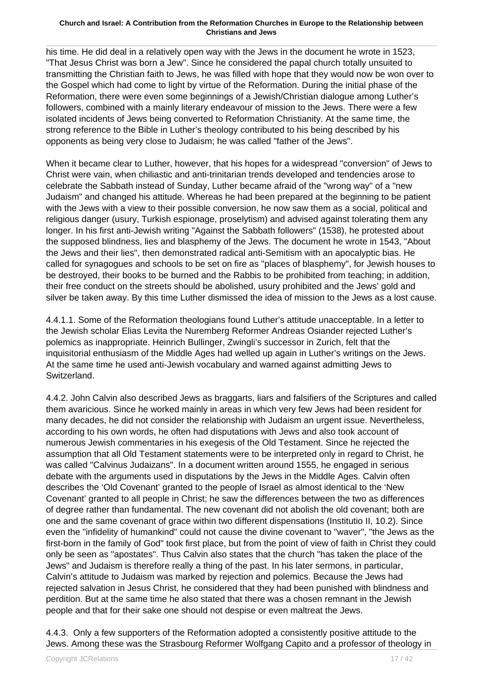his time. He did deal in a relatively open way with the Jews in the document he wrote in 1523, "That Jesus Christ was born a Jew". Since he considered the papal church totally unsuited to transmitting the Christian faith to Jews, he was filled with hope that they would now be won over to the Gospel which had come to light by virtue of the Reformation. During the initial phase of the Reformation, there were even some beginnings of a Jewish/Christian dialogue among Luther's followers, combined with a mainly literary endeavour of mission to the Jews. There were a few isolated incidents of Jews being converted to Reformation Christianity. At the same time, the strong reference to the Bible in Luther's theology contributed to his being described by his opponents as being very close to Judaism; he was called "father of the Jews".

When it became clear to Luther, however, that his hopes for a widespread "conversion" of Jews to Christ were vain, when chiliastic and anti-trinitarian trends developed and tendencies arose to celebrate the Sabbath instead of Sunday, Luther became afraid of the "wrong way" of a "new Judaism" and changed his attitude. Whereas he had been prepared at the beginning to be patient with the Jews with a view to their possible conversion, he now saw them as a social, political and religious danger (usury, Turkish espionage, proselytism) and advised against tolerating them any longer. In his first anti-Jewish writing "Against the Sabbath followers" (1538), he protested about the supposed blindness, lies and blasphemy of the Jews. The document he wrote in 1543, "About the Jews and their lies", then demonstrated radical anti-Semitism with an apocalyptic bias. He called for synagogues and schools to be set on fire as "places of blasphemy", for Jewish houses to be destroyed, their books to be burned and the Rabbis to be prohibited from teaching; in addition, their free conduct on the streets should be abolished, usury prohibited and the Jews' gold and silver be taken away. By this time Luther dismissed the idea of mission to the Jews as a lost cause.

4.4.1.1. Some of the Reformation theologians found Luther's attitude unacceptable. In a letter to the Jewish scholar Elias Levita the Nuremberg Reformer Andreas Osiander rejected Luther's polemics as inappropriate. Heinrich Bullinger, Zwingli's successor in Zurich, felt that the inquisitorial enthusiasm of the Middle Ages had welled up again in Luther's writings on the Jews. At the same time he used anti-Jewish vocabulary and warned against admitting Jews to Switzerland.

4.4.2. John Calvin also described Jews as braggarts, liars and falsifiers of the Scriptures and called them avaricious. Since he worked mainly in areas in which very few Jews had been resident for many decades, he did not consider the relationship with Judaism an urgent issue. Nevertheless, according to his own words, he often had disputations with Jews and also took account of numerous Jewish commentaries in his exegesis of the Old Testament. Since he rejected the assumption that all Old Testament statements were to be interpreted only in regard to Christ, he was called "Calvinus Judaizans". In a document written around 1555, he engaged in serious debate with the arguments used in disputations by the Jews in the Middle Ages. Calvin often describes the 'Old Covenant' granted to the people of Israel as almost identical to the 'New Covenant' granted to all people in Christ; he saw the differences between the two as differences of degree rather than fundamental. The new covenant did not abolish the old covenant; both are one and the same covenant of grace within two different dispensations (Institutio II, 10.2). Since even the "infidelity of humankind" could not cause the divine covenant to "waver", "the Jews as the first-born in the family of God" took first place, but from the point of view of faith in Christ they could only be seen as "apostates". Thus Calvin also states that the church "has taken the place of the Jews" and Judaism is therefore really a thing of the past. In his later sermons, in particular, Calvin's attitude to Judaism was marked by rejection and polemics. Because the Jews had rejected salvation in Jesus Christ, he considered that they had been punished with blindness and perdition. But at the same time he also stated that there was a chosen remnant in the Jewish people and that for their sake one should not despise or even maltreat the Jews.

4.4.3. Only a few supporters of the Reformation adopted a consistently positive attitude to the Jews. Among these was the Strasbourg Reformer Wolfgang Capito and a professor of theology in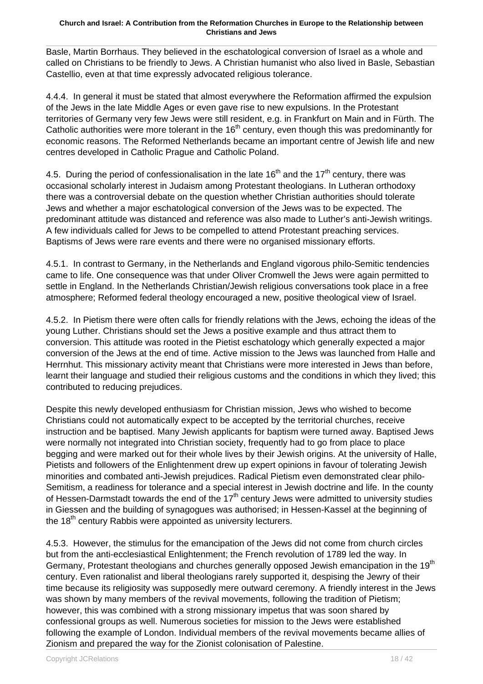Basle, Martin Borrhaus. They believed in the eschatological conversion of Israel as a whole and called on Christians to be friendly to Jews. A Christian humanist who also lived in Basle, Sebastian Castellio, even at that time expressly advocated religious tolerance.

4.4.4. In general it must be stated that almost everywhere the Reformation affirmed the expulsion of the Jews in the late Middle Ages or even gave rise to new expulsions. In the Protestant territories of Germany very few Jews were still resident, e.g. in Frankfurt on Main and in Fürth. The Catholic authorities were more tolerant in the  $16<sup>th</sup>$  century, even though this was predominantly for economic reasons. The Reformed Netherlands became an important centre of Jewish life and new centres developed in Catholic Prague and Catholic Poland.

4.5. During the period of confessionalisation in the late  $16<sup>th</sup>$  and the  $17<sup>th</sup>$  century, there was occasional scholarly interest in Judaism among Protestant theologians. In Lutheran orthodoxy there was a controversial debate on the question whether Christian authorities should tolerate Jews and whether a major eschatological conversion of the Jews was to be expected. The predominant attitude was distanced and reference was also made to Luther's anti-Jewish writings. A few individuals called for Jews to be compelled to attend Protestant preaching services. Baptisms of Jews were rare events and there were no organised missionary efforts.

4.5.1. In contrast to Germany, in the Netherlands and England vigorous philo-Semitic tendencies came to life. One consequence was that under Oliver Cromwell the Jews were again permitted to settle in England. In the Netherlands Christian/Jewish religious conversations took place in a free atmosphere; Reformed federal theology encouraged a new, positive theological view of Israel.

4.5.2. In Pietism there were often calls for friendly relations with the Jews, echoing the ideas of the young Luther. Christians should set the Jews a positive example and thus attract them to conversion. This attitude was rooted in the Pietist eschatology which generally expected a major conversion of the Jews at the end of time. Active mission to the Jews was launched from Halle and Herrnhut. This missionary activity meant that Christians were more interested in Jews than before, learnt their language and studied their religious customs and the conditions in which they lived; this contributed to reducing prejudices.

Despite this newly developed enthusiasm for Christian mission, Jews who wished to become Christians could not automatically expect to be accepted by the territorial churches, receive instruction and be baptised. Many Jewish applicants for baptism were turned away. Baptised Jews were normally not integrated into Christian society, frequently had to go from place to place begging and were marked out for their whole lives by their Jewish origins. At the university of Halle, Pietists and followers of the Enlightenment drew up expert opinions in favour of tolerating Jewish minorities and combated anti-Jewish prejudices. Radical Pietism even demonstrated clear philo-Semitism, a readiness for tolerance and a special interest in Jewish doctrine and life. In the county of Hessen-Darmstadt towards the end of the  $17<sup>th</sup>$  century Jews were admitted to university studies in Giessen and the building of synagogues was authorised; in Hessen-Kassel at the beginning of the 18<sup>th</sup> century Rabbis were appointed as university lecturers.

4.5.3. However, the stimulus for the emancipation of the Jews did not come from church circles but from the anti-ecclesiastical Enlightenment; the French revolution of 1789 led the way. In Germany, Protestant theologians and churches generally opposed Jewish emancipation in the 19<sup>th</sup> century. Even rationalist and liberal theologians rarely supported it, despising the Jewry of their time because its religiosity was supposedly mere outward ceremony. A friendly interest in the Jews was shown by many members of the revival movements, following the tradition of Pietism; however, this was combined with a strong missionary impetus that was soon shared by confessional groups as well. Numerous societies for mission to the Jews were established following the example of London. Individual members of the revival movements became allies of Zionism and prepared the way for the Zionist colonisation of Palestine.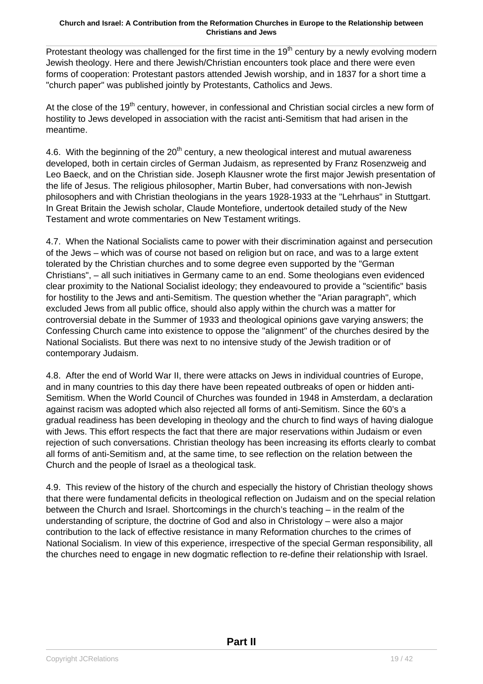Protestant theology was challenged for the first time in the  $19<sup>th</sup>$  century by a newly evolving modern Jewish theology. Here and there Jewish/Christian encounters took place and there were even forms of cooperation: Protestant pastors attended Jewish worship, and in 1837 for a short time a "church paper" was published jointly by Protestants, Catholics and Jews.

At the close of the 19<sup>th</sup> century, however, in confessional and Christian social circles a new form of hostility to Jews developed in association with the racist anti-Semitism that had arisen in the meantime.

4.6. With the beginning of the  $20<sup>th</sup>$  century, a new theological interest and mutual awareness developed, both in certain circles of German Judaism, as represented by Franz Rosenzweig and Leo Baeck, and on the Christian side. Joseph Klausner wrote the first major Jewish presentation of the life of Jesus. The religious philosopher, Martin Buber, had conversations with non-Jewish philosophers and with Christian theologians in the years 1928-1933 at the "Lehrhaus" in Stuttgart. In Great Britain the Jewish scholar, Claude Montefiore, undertook detailed study of the New Testament and wrote commentaries on New Testament writings.

4.7. When the National Socialists came to power with their discrimination against and persecution of the Jews – which was of course not based on religion but on race, and was to a large extent tolerated by the Christian churches and to some degree even supported by the "German Christians", – all such initiatives in Germany came to an end. Some theologians even evidenced clear proximity to the National Socialist ideology; they endeavoured to provide a "scientific" basis for hostility to the Jews and anti-Semitism. The question whether the "Arian paragraph", which excluded Jews from all public office, should also apply within the church was a matter for controversial debate in the Summer of 1933 and theological opinions gave varying answers; the Confessing Church came into existence to oppose the "alignment" of the churches desired by the National Socialists. But there was next to no intensive study of the Jewish tradition or of contemporary Judaism.

4.8. After the end of World War II, there were attacks on Jews in individual countries of Europe, and in many countries to this day there have been repeated outbreaks of open or hidden anti-Semitism. When the World Council of Churches was founded in 1948 in Amsterdam, a declaration against racism was adopted which also rejected all forms of anti-Semitism. Since the 60's a gradual readiness has been developing in theology and the church to find ways of having dialogue with Jews. This effort respects the fact that there are major reservations within Judaism or even rejection of such conversations. Christian theology has been increasing its efforts clearly to combat all forms of anti-Semitism and, at the same time, to see reflection on the relation between the Church and the people of Israel as a theological task.

4.9. This review of the history of the church and especially the history of Christian theology shows that there were fundamental deficits in theological reflection on Judaism and on the special relation between the Church and Israel. Shortcomings in the church's teaching – in the realm of the understanding of scripture, the doctrine of God and also in Christology – were also a major contribution to the lack of effective resistance in many Reformation churches to the crimes of National Socialism. In view of this experience, irrespective of the special German responsibility, all the churches need to engage in new dogmatic reflection to re-define their relationship with Israel.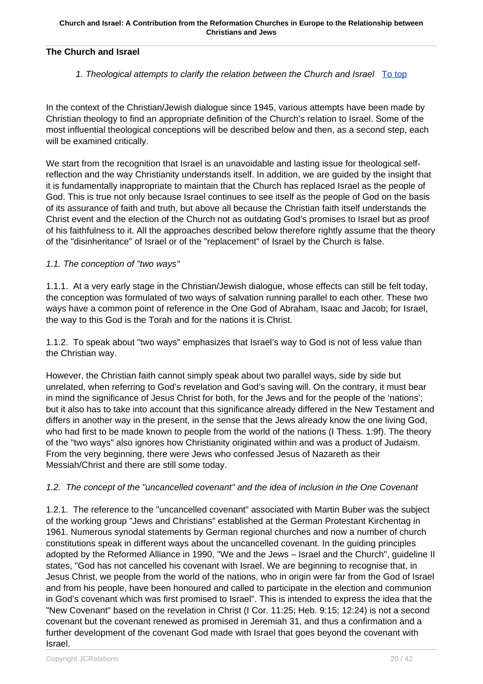### **The Church and Israel**

### 1. Theological attempts to clarify the relation between the Church and Israel  $\overline{Io}$  top

In the context of the Christian/Jewish dialogue since 1945, various attempts have been made by Christian theology to find an appropriate definition of the Church's relation to Israel. Some of the most influential theological conceptions will be described below and then, as a second step, each will be examined critically.

We start from the recognition that Israel is an unavoidable and lasting issue for theological selfreflection and the way Christianity understands itself. In addition, we are guided by the insight that it is fundamentally inappropriate to maintain that the Church has replaced Israel as the people of God. This is true not only because Israel continues to see itself as the people of God on the basis of its assurance of faith and truth, but above all because the Christian faith itself understands the Christ event and the election of the Church not as outdating God's promises to Israel but as proof of his faithfulness to it. All the approaches described below therefore rightly assume that the theory of the "disinheritance" of Israel or of the "replacement" of Israel by the Church is false.

### 1.1. The conception of "two ways"

1.1.1. At a very early stage in the Christian/Jewish dialogue, whose effects can still be felt today, the conception was formulated of two ways of salvation running parallel to each other. These two ways have a common point of reference in the One God of Abraham, Isaac and Jacob; for Israel, the way to this God is the Torah and for the nations it is Christ.

1.1.2. To speak about "two ways" emphasizes that Israel's way to God is not of less value than the Christian way.

However, the Christian faith cannot simply speak about two parallel ways, side by side but unrelated, when referring to God's revelation and God's saving will. On the contrary, it must bear in mind the significance of Jesus Christ for both, for the Jews and for the people of the 'nations'; but it also has to take into account that this significance already differed in the New Testament and differs in another way in the present, in the sense that the Jews already know the one living God, who had first to be made known to people from the world of the nations (I Thess. 1:9f). The theory of the "two ways" also ignores how Christianity originated within and was a product of Judaism. From the very beginning, there were Jews who confessed Jesus of Nazareth as their Messiah/Christ and there are still some today.

### 1.2. The concept of the "uncancelled covenant" and the idea of inclusion in the One Covenant

1.2.1. The reference to the "uncancelled covenant" associated with Martin Buber was the subject of the working group "Jews and Christians" established at the German Protestant Kirchentag in 1961. Numerous synodal statements by German regional churches and now a number of church constitutions speak in different ways about the uncancelled covenant. In the guiding principles adopted by the Reformed Alliance in 1990, "We and the Jews – Israel and the Church", guideline II states, "God has not cancelled his covenant with Israel. We are beginning to recognise that, in Jesus Christ, we people from the world of the nations, who in origin were far from the God of Israel and from his people, have been honoured and called to participate in the election and communion in God's covenant which was first promised to Israel". This is intended to express the idea that the "New Covenant" based on the revelation in Christ (I Cor. 11:25; Heb. 9:15; 12:24) is not a second covenant but the covenant renewed as promised in Jeremiah 31, and thus a confirmation and a further development of the covenant God made with Israel that goes beyond the covenant with Israel.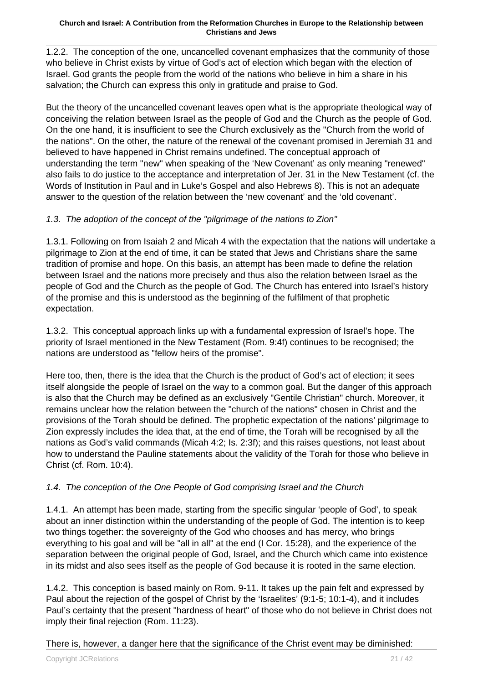1.2.2. The conception of the one, uncancelled covenant emphasizes that the community of those who believe in Christ exists by virtue of God's act of election which began with the election of Israel. God grants the people from the world of the nations who believe in him a share in his salvation; the Church can express this only in gratitude and praise to God.

But the theory of the uncancelled covenant leaves open what is the appropriate theological way of conceiving the relation between Israel as the people of God and the Church as the people of God. On the one hand, it is insufficient to see the Church exclusively as the "Church from the world of the nations". On the other, the nature of the renewal of the covenant promised in Jeremiah 31 and believed to have happened in Christ remains undefined. The conceptual approach of understanding the term "new" when speaking of the 'New Covenant' as only meaning "renewed" also fails to do justice to the acceptance and interpretation of Jer. 31 in the New Testament (cf. the Words of Institution in Paul and in Luke's Gospel and also Hebrews 8). This is not an adequate answer to the question of the relation between the 'new covenant' and the 'old covenant'.

### 1.3. The adoption of the concept of the "pilgrimage of the nations to Zion"

1.3.1. Following on from Isaiah 2 and Micah 4 with the expectation that the nations will undertake a pilgrimage to Zion at the end of time, it can be stated that Jews and Christians share the same tradition of promise and hope. On this basis, an attempt has been made to define the relation between Israel and the nations more precisely and thus also the relation between Israel as the people of God and the Church as the people of God. The Church has entered into Israel's history of the promise and this is understood as the beginning of the fulfilment of that prophetic expectation.

1.3.2. This conceptual approach links up with a fundamental expression of Israel's hope. The priority of Israel mentioned in the New Testament (Rom. 9:4f) continues to be recognised; the nations are understood as "fellow heirs of the promise".

Here too, then, there is the idea that the Church is the product of God's act of election; it sees itself alongside the people of Israel on the way to a common goal. But the danger of this approach is also that the Church may be defined as an exclusively "Gentile Christian" church. Moreover, it remains unclear how the relation between the "church of the nations" chosen in Christ and the provisions of the Torah should be defined. The prophetic expectation of the nations' pilgrimage to Zion expressly includes the idea that, at the end of time, the Torah will be recognised by all the nations as God's valid commands (Micah 4:2; Is. 2:3f); and this raises questions, not least about how to understand the Pauline statements about the validity of the Torah for those who believe in Christ (cf. Rom. 10:4).

### 1.4. The conception of the One People of God comprising Israel and the Church

1.4.1. An attempt has been made, starting from the specific singular 'people of God', to speak about an inner distinction within the understanding of the people of God. The intention is to keep two things together: the sovereignty of the God who chooses and has mercy, who brings everything to his goal and will be "all in all" at the end (I Cor. 15:28), and the experience of the separation between the original people of God, Israel, and the Church which came into existence in its midst and also sees itself as the people of God because it is rooted in the same election.

1.4.2. This conception is based mainly on Rom. 9-11. It takes up the pain felt and expressed by Paul about the rejection of the gospel of Christ by the 'Israelites' (9:1-5; 10:1-4), and it includes Paul's certainty that the present "hardness of heart" of those who do not believe in Christ does not imply their final rejection (Rom. 11:23).

There is, however, a danger here that the significance of the Christ event may be diminished: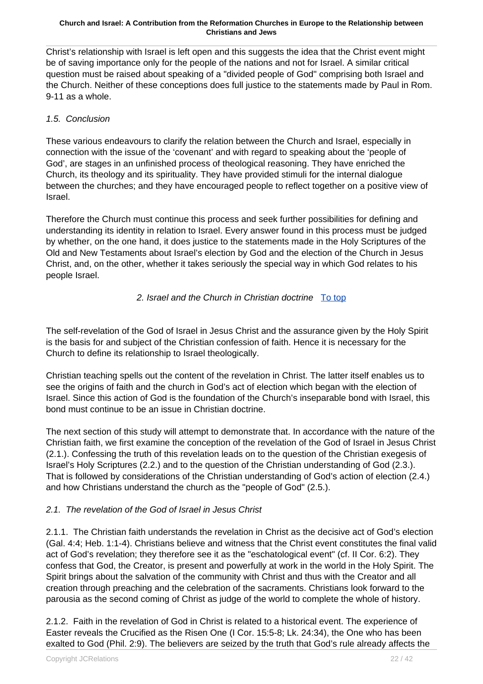Christ's relationship with Israel is left open and this suggests the idea that the Christ event might be of saving importance only for the people of the nations and not for Israel. A similar critical question must be raised about speaking of a "divided people of God" comprising both Israel and the Church. Neither of these conceptions does full justice to the statements made by Paul in Rom. 9-11 as a whole.

### 1.5. Conclusion

These various endeavours to clarify the relation between the Church and Israel, especially in connection with the issue of the 'covenant' and with regard to speaking about the 'people of God', are stages in an unfinished process of theological reasoning. They have enriched the Church, its theology and its spirituality. They have provided stimuli for the internal dialogue between the churches; and they have encouraged people to reflect together on a positive view of Israel.

Therefore the Church must continue this process and seek further possibilities for defining and understanding its identity in relation to Israel. Every answer found in this process must be judged by whether, on the one hand, it does justice to the statements made in the Holy Scriptures of the Old and New Testaments about Israel's election by God and the election of the Church in Jesus Christ, and, on the other, whether it takes seriously the special way in which God relates to his people Israel.

### 2. Israel and the Church in Christian doctrine To top

The self-revelation of the God of Israel in Jesus Christ and the assurance given by the Holy Spirit is the basis for and subject of the Christian confession of faith. Hence it is necessary for the Church to define its relationship to Israel theologically.

Christian teaching spells out the content of the revelation in Christ. The latter itself enables us to see the origins of faith and the church in God's act of election which began with the election of Israel. Since this action of God is the foundation of the Church's inseparable bond with Israel, this bond must continue to be an issue in Christian doctrine.

The next section of this study will attempt to demonstrate that. In accordance with the nature of the Christian faith, we first examine the conception of the revelation of the God of Israel in Jesus Christ (2.1.). Confessing the truth of this revelation leads on to the question of the Christian exegesis of Israel's Holy Scriptures (2.2.) and to the question of the Christian understanding of God (2.3.). That is followed by considerations of the Christian understanding of God's action of election (2.4.) and how Christians understand the church as the "people of God" (2.5.).

### 2.1. The revelation of the God of Israel in Jesus Christ

2.1.1. The Christian faith understands the revelation in Christ as the decisive act of God's election (Gal. 4:4; Heb. 1:1-4). Christians believe and witness that the Christ event constitutes the final valid act of God's revelation; they therefore see it as the "eschatological event" (cf. II Cor. 6:2). They confess that God, the Creator, is present and powerfully at work in the world in the Holy Spirit. The Spirit brings about the salvation of the community with Christ and thus with the Creator and all creation through preaching and the celebration of the sacraments. Christians look forward to the parousia as the second coming of Christ as judge of the world to complete the whole of history.

2.1.2. Faith in the revelation of God in Christ is related to a historical event. The experience of Easter reveals the Crucified as the Risen One (I Cor. 15:5-8; Lk. 24:34), the One who has been exalted to God (Phil. 2:9). The believers are seized by the truth that God's rule already affects the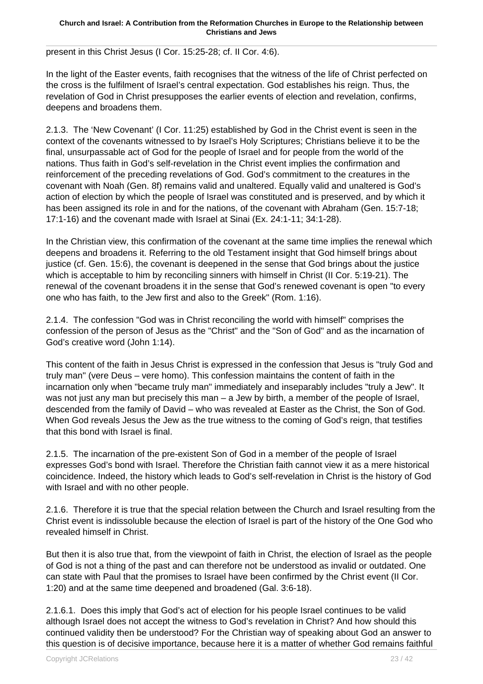present in this Christ Jesus (I Cor. 15:25-28; cf. II Cor. 4:6).

In the light of the Easter events, faith recognises that the witness of the life of Christ perfected on the cross is the fulfilment of Israel's central expectation. God establishes his reign. Thus, the revelation of God in Christ presupposes the earlier events of election and revelation, confirms, deepens and broadens them.

2.1.3. The 'New Covenant' (I Cor. 11:25) established by God in the Christ event is seen in the context of the covenants witnessed to by Israel's Holy Scriptures; Christians believe it to be the final, unsurpassable act of God for the people of Israel and for people from the world of the nations. Thus faith in God's self-revelation in the Christ event implies the confirmation and reinforcement of the preceding revelations of God. God's commitment to the creatures in the covenant with Noah (Gen. 8f) remains valid and unaltered. Equally valid and unaltered is God's action of election by which the people of Israel was constituted and is preserved, and by which it has been assigned its role in and for the nations, of the covenant with Abraham (Gen. 15:7-18; 17:1-16) and the covenant made with Israel at Sinai (Ex. 24:1-11; 34:1-28).

In the Christian view, this confirmation of the covenant at the same time implies the renewal which deepens and broadens it. Referring to the old Testament insight that God himself brings about justice (cf. Gen. 15:6), the covenant is deepened in the sense that God brings about the justice which is acceptable to him by reconciling sinners with himself in Christ (II Cor. 5:19-21). The renewal of the covenant broadens it in the sense that God's renewed covenant is open "to every one who has faith, to the Jew first and also to the Greek" (Rom. 1:16).

2.1.4. The confession "God was in Christ reconciling the world with himself" comprises the confession of the person of Jesus as the "Christ" and the "Son of God" and as the incarnation of God's creative word (John 1:14).

This content of the faith in Jesus Christ is expressed in the confession that Jesus is "truly God and truly man" (vere Deus – vere homo). This confession maintains the content of faith in the incarnation only when "became truly man" immediately and inseparably includes "truly a Jew". It was not just any man but precisely this man – a Jew by birth, a member of the people of Israel, descended from the family of David – who was revealed at Easter as the Christ, the Son of God. When God reveals Jesus the Jew as the true witness to the coming of God's reign, that testifies that this bond with Israel is final.

2.1.5. The incarnation of the pre-existent Son of God in a member of the people of Israel expresses God's bond with Israel. Therefore the Christian faith cannot view it as a mere historical coincidence. Indeed, the history which leads to God's self-revelation in Christ is the history of God with Israel and with no other people.

2.1.6. Therefore it is true that the special relation between the Church and Israel resulting from the Christ event is indissoluble because the election of Israel is part of the history of the One God who revealed himself in Christ.

But then it is also true that, from the viewpoint of faith in Christ, the election of Israel as the people of God is not a thing of the past and can therefore not be understood as invalid or outdated. One can state with Paul that the promises to Israel have been confirmed by the Christ event (II Cor. 1:20) and at the same time deepened and broadened (Gal. 3:6-18).

2.1.6.1. Does this imply that God's act of election for his people Israel continues to be valid although Israel does not accept the witness to God's revelation in Christ? And how should this continued validity then be understood? For the Christian way of speaking about God an answer to this question is of decisive importance, because here it is a matter of whether God remains faithful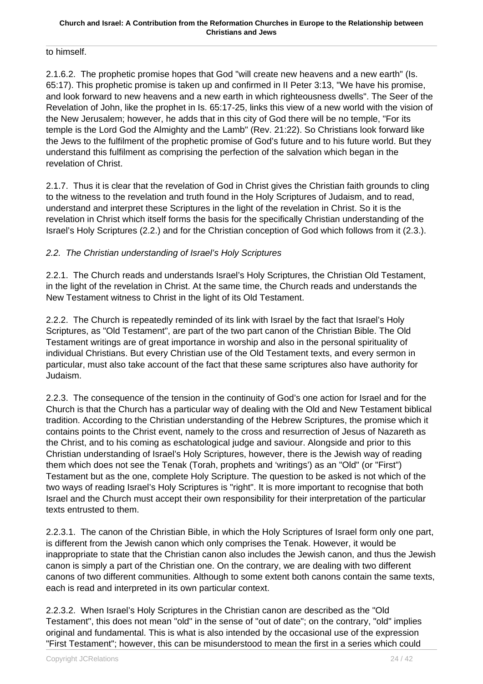to himself.

2.1.6.2. The prophetic promise hopes that God "will create new heavens and a new earth" (Is. 65:17). This prophetic promise is taken up and confirmed in II Peter 3:13, "We have his promise, and look forward to new heavens and a new earth in which righteousness dwells". The Seer of the Revelation of John, like the prophet in Is. 65:17-25, links this view of a new world with the vision of the New Jerusalem; however, he adds that in this city of God there will be no temple, "For its temple is the Lord God the Almighty and the Lamb" (Rev. 21:22). So Christians look forward like the Jews to the fulfilment of the prophetic promise of God's future and to his future world. But they understand this fulfilment as comprising the perfection of the salvation which began in the revelation of Christ.

2.1.7. Thus it is clear that the revelation of God in Christ gives the Christian faith grounds to cling to the witness to the revelation and truth found in the Holy Scriptures of Judaism, and to read, understand and interpret these Scriptures in the light of the revelation in Christ. So it is the revelation in Christ which itself forms the basis for the specifically Christian understanding of the Israel's Holy Scriptures (2.2.) and for the Christian conception of God which follows from it (2.3.).

### 2.2. The Christian understanding of Israel's Holy Scriptures

2.2.1. The Church reads and understands Israel's Holy Scriptures, the Christian Old Testament, in the light of the revelation in Christ. At the same time, the Church reads and understands the New Testament witness to Christ in the light of its Old Testament.

2.2.2. The Church is repeatedly reminded of its link with Israel by the fact that Israel's Holy Scriptures, as "Old Testament", are part of the two part canon of the Christian Bible. The Old Testament writings are of great importance in worship and also in the personal spirituality of individual Christians. But every Christian use of the Old Testament texts, and every sermon in particular, must also take account of the fact that these same scriptures also have authority for Judaism.

2.2.3. The consequence of the tension in the continuity of God's one action for Israel and for the Church is that the Church has a particular way of dealing with the Old and New Testament biblical tradition. According to the Christian understanding of the Hebrew Scriptures, the promise which it contains points to the Christ event, namely to the cross and resurrection of Jesus of Nazareth as the Christ, and to his coming as eschatological judge and saviour. Alongside and prior to this Christian understanding of Israel's Holy Scriptures, however, there is the Jewish way of reading them which does not see the Tenak (Torah, prophets and 'writings') as an "Old" (or "First") Testament but as the one, complete Holy Scripture. The question to be asked is not which of the two ways of reading Israel's Holy Scriptures is "right". It is more important to recognise that both Israel and the Church must accept their own responsibility for their interpretation of the particular texts entrusted to them.

2.2.3.1. The canon of the Christian Bible, in which the Holy Scriptures of Israel form only one part, is different from the Jewish canon which only comprises the Tenak. However, it would be inappropriate to state that the Christian canon also includes the Jewish canon, and thus the Jewish canon is simply a part of the Christian one. On the contrary, we are dealing with two different canons of two different communities. Although to some extent both canons contain the same texts, each is read and interpreted in its own particular context.

2.2.3.2. When Israel's Holy Scriptures in the Christian canon are described as the "Old Testament", this does not mean "old" in the sense of "out of date"; on the contrary, "old" implies original and fundamental. This is what is also intended by the occasional use of the expression "First Testament"; however, this can be misunderstood to mean the first in a series which could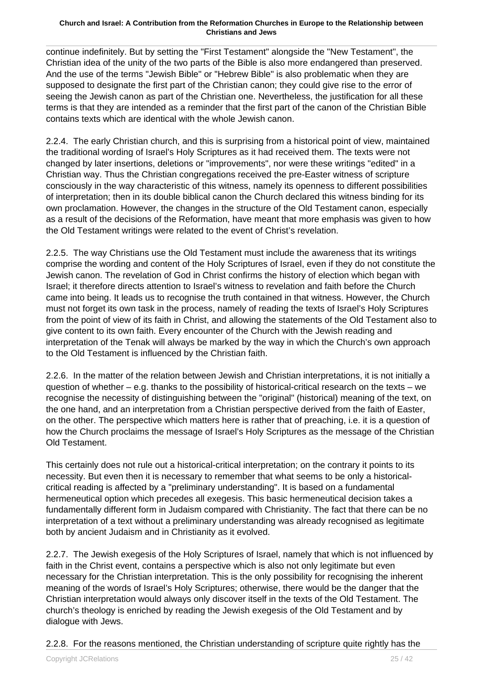continue indefinitely. But by setting the "First Testament" alongside the "New Testament", the Christian idea of the unity of the two parts of the Bible is also more endangered than preserved. And the use of the terms "Jewish Bible" or "Hebrew Bible" is also problematic when they are supposed to designate the first part of the Christian canon; they could give rise to the error of seeing the Jewish canon as part of the Christian one. Nevertheless, the justification for all these terms is that they are intended as a reminder that the first part of the canon of the Christian Bible contains texts which are identical with the whole Jewish canon.

2.2.4. The early Christian church, and this is surprising from a historical point of view, maintained the traditional wording of Israel's Holy Scriptures as it had received them. The texts were not changed by later insertions, deletions or "improvements", nor were these writings "edited" in a Christian way. Thus the Christian congregations received the pre-Easter witness of scripture consciously in the way characteristic of this witness, namely its openness to different possibilities of interpretation; then in its double biblical canon the Church declared this witness binding for its own proclamation. However, the changes in the structure of the Old Testament canon, especially as a result of the decisions of the Reformation, have meant that more emphasis was given to how the Old Testament writings were related to the event of Christ's revelation.

2.2.5. The way Christians use the Old Testament must include the awareness that its writings comprise the wording and content of the Holy Scriptures of Israel, even if they do not constitute the Jewish canon. The revelation of God in Christ confirms the history of election which began with Israel; it therefore directs attention to Israel's witness to revelation and faith before the Church came into being. It leads us to recognise the truth contained in that witness. However, the Church must not forget its own task in the process, namely of reading the texts of Israel's Holy Scriptures from the point of view of its faith in Christ, and allowing the statements of the Old Testament also to give content to its own faith. Every encounter of the Church with the Jewish reading and interpretation of the Tenak will always be marked by the way in which the Church's own approach to the Old Testament is influenced by the Christian faith.

2.2.6. In the matter of the relation between Jewish and Christian interpretations, it is not initially a question of whether – e.g. thanks to the possibility of historical-critical research on the texts – we recognise the necessity of distinguishing between the "original" (historical) meaning of the text, on the one hand, and an interpretation from a Christian perspective derived from the faith of Easter, on the other. The perspective which matters here is rather that of preaching, i.e. it is a question of how the Church proclaims the message of Israel's Holy Scriptures as the message of the Christian Old Testament.

This certainly does not rule out a historical-critical interpretation; on the contrary it points to its necessity. But even then it is necessary to remember that what seems to be only a historicalcritical reading is affected by a "preliminary understanding". It is based on a fundamental hermeneutical option which precedes all exegesis. This basic hermeneutical decision takes a fundamentally different form in Judaism compared with Christianity. The fact that there can be no interpretation of a text without a preliminary understanding was already recognised as legitimate both by ancient Judaism and in Christianity as it evolved.

2.2.7. The Jewish exegesis of the Holy Scriptures of Israel, namely that which is not influenced by faith in the Christ event, contains a perspective which is also not only legitimate but even necessary for the Christian interpretation. This is the only possibility for recognising the inherent meaning of the words of Israel's Holy Scriptures; otherwise, there would be the danger that the Christian interpretation would always only discover itself in the texts of the Old Testament. The church's theology is enriched by reading the Jewish exegesis of the Old Testament and by dialogue with Jews.

2.2.8. For the reasons mentioned, the Christian understanding of scripture quite rightly has the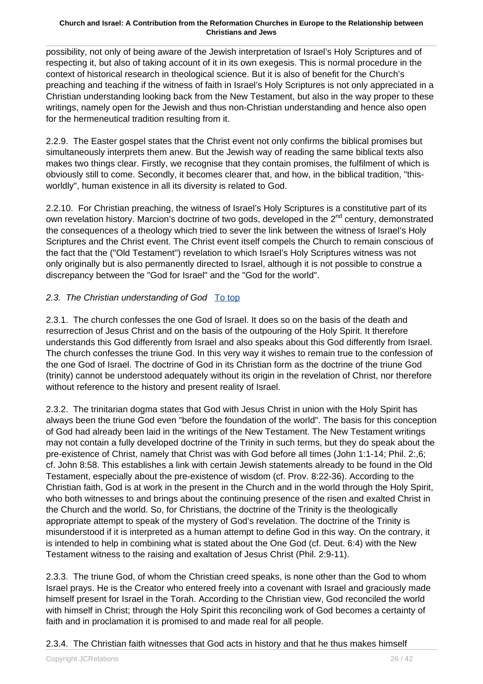possibility, not only of being aware of the Jewish interpretation of Israel's Holy Scriptures and of respecting it, but also of taking account of it in its own exegesis. This is normal procedure in the context of historical research in theological science. But it is also of benefit for the Church's preaching and teaching if the witness of faith in Israel's Holy Scriptures is not only appreciated in a Christian understanding looking back from the New Testament, but also in the way proper to these writings, namely open for the Jewish and thus non-Christian understanding and hence also open for the hermeneutical tradition resulting from it.

2.2.9. The Easter gospel states that the Christ event not only confirms the biblical promises but simultaneously interprets them anew. But the Jewish way of reading the same biblical texts also makes two things clear. Firstly, we recognise that they contain promises, the fulfilment of which is obviously still to come. Secondly, it becomes clearer that, and how, in the biblical tradition, "thisworldly", human existence in all its diversity is related to God.

2.2.10. For Christian preaching, the witness of Israel's Holy Scriptures is a constitutive part of its own revelation history. Marcion's doctrine of two gods, developed in the 2<sup>nd</sup> century, demonstrated the consequences of a theology which tried to sever the link between the witness of Israel's Holy Scriptures and the Christ event. The Christ event itself compels the Church to remain conscious of the fact that the ("Old Testament") revelation to which Israel's Holy Scriptures witness was not only originally but is also permanently directed to Israel, although it is not possible to construe a discrepancy between the "God for Israel" and the "God for the world".

### 2.3. The Christian understanding of God To top

2.3.1. The church confesses the one God of Israel. It does so on the basis of the death and resurrection of Jesus Christ and on the basis of the outpouring of the Holy Spirit. It therefore understands this God differently from Israel and also speaks about this God differently from Israel. The church confesses the triune God. In this very way it wishes to remain true to the confession of the one God of Israel. The doctrine of God in its Christian form as the doctrine of the triune God (trinity) cannot be understood adequately without its origin in the revelation of Christ, nor therefore without reference to the history and present reality of Israel.

2.3.2. The trinitarian dogma states that God with Jesus Christ in union with the Holy Spirit has always been the triune God even "before the foundation of the world". The basis for this conception of God had already been laid in the writings of the New Testament. The New Testament writings may not contain a fully developed doctrine of the Trinity in such terms, but they do speak about the pre-existence of Christ, namely that Christ was with God before all times (John 1:1-14; Phil. 2:,6; cf. John 8:58. This establishes a link with certain Jewish statements already to be found in the Old Testament, especially about the pre-existence of wisdom (cf. Prov. 8:22-36). According to the Christian faith, God is at work in the present in the Church and in the world through the Holy Spirit, who both witnesses to and brings about the continuing presence of the risen and exalted Christ in the Church and the world. So, for Christians, the doctrine of the Trinity is the theologically appropriate attempt to speak of the mystery of God's revelation. The doctrine of the Trinity is misunderstood if it is interpreted as a human attempt to define God in this way. On the contrary, it is intended to help in combining what is stated about the One God (cf. Deut. 6:4) with the New Testament witness to the raising and exaltation of Jesus Christ (Phil. 2:9-11).

2.3.3. The triune God, of whom the Christian creed speaks, is none other than the God to whom Israel prays. He is the Creator who entered freely into a covenant with Israel and graciously made himself present for Israel in the Torah. According to the Christian view, God reconciled the world with himself in Christ; through the Holy Spirit this reconciling work of God becomes a certainty of faith and in proclamation it is promised to and made real for all people.

### 2.3.4. The Christian faith witnesses that God acts in history and that he thus makes himself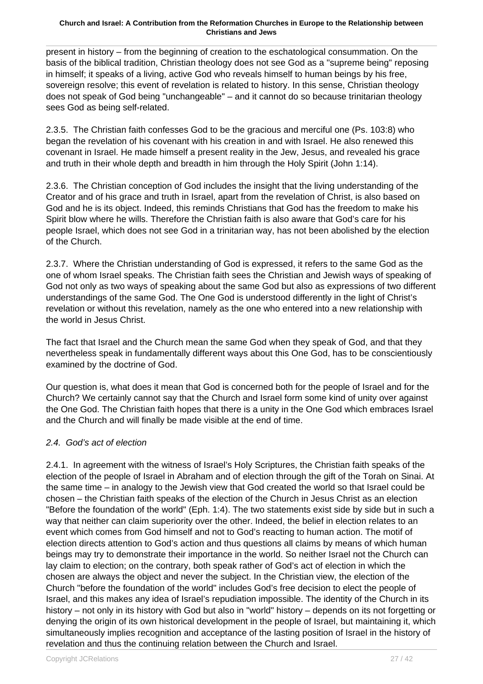present in history – from the beginning of creation to the eschatological consummation. On the basis of the biblical tradition, Christian theology does not see God as a "supreme being" reposing in himself; it speaks of a living, active God who reveals himself to human beings by his free, sovereign resolve; this event of revelation is related to history. In this sense, Christian theology does not speak of God being "unchangeable" – and it cannot do so because trinitarian theology sees God as being self-related.

2.3.5. The Christian faith confesses God to be the gracious and merciful one (Ps. 103:8) who began the revelation of his covenant with his creation in and with Israel. He also renewed this covenant in Israel. He made himself a present reality in the Jew, Jesus, and revealed his grace and truth in their whole depth and breadth in him through the Holy Spirit (John 1:14).

2.3.6. The Christian conception of God includes the insight that the living understanding of the Creator and of his grace and truth in Israel, apart from the revelation of Christ, is also based on God and he is its object. Indeed, this reminds Christians that God has the freedom to make his Spirit blow where he wills. Therefore the Christian faith is also aware that God's care for his people Israel, which does not see God in a trinitarian way, has not been abolished by the election of the Church.

2.3.7. Where the Christian understanding of God is expressed, it refers to the same God as the one of whom Israel speaks. The Christian faith sees the Christian and Jewish ways of speaking of God not only as two ways of speaking about the same God but also as expressions of two different understandings of the same God. The One God is understood differently in the light of Christ's revelation or without this revelation, namely as the one who entered into a new relationship with the world in Jesus Christ.

The fact that Israel and the Church mean the same God when they speak of God, and that they nevertheless speak in fundamentally different ways about this One God, has to be conscientiously examined by the doctrine of God.

Our question is, what does it mean that God is concerned both for the people of Israel and for the Church? We certainly cannot say that the Church and Israel form some kind of unity over against the One God. The Christian faith hopes that there is a unity in the One God which embraces Israel and the Church and will finally be made visible at the end of time.

### 2.4. God's act of election

2.4.1. In agreement with the witness of Israel's Holy Scriptures, the Christian faith speaks of the election of the people of Israel in Abraham and of election through the gift of the Torah on Sinai. At the same time – in analogy to the Jewish view that God created the world so that Israel could be chosen – the Christian faith speaks of the election of the Church in Jesus Christ as an election "Before the foundation of the world" (Eph. 1:4). The two statements exist side by side but in such a way that neither can claim superiority over the other. Indeed, the belief in election relates to an event which comes from God himself and not to God's reacting to human action. The motif of election directs attention to God's action and thus questions all claims by means of which human beings may try to demonstrate their importance in the world. So neither Israel not the Church can lay claim to election; on the contrary, both speak rather of God's act of election in which the chosen are always the object and never the subject. In the Christian view, the election of the Church "before the foundation of the world" includes God's free decision to elect the people of Israel, and this makes any idea of Israel's repudiation impossible. The identity of the Church in its history – not only in its history with God but also in "world" history – depends on its not forgetting or denying the origin of its own historical development in the people of Israel, but maintaining it, which simultaneously implies recognition and acceptance of the lasting position of Israel in the history of revelation and thus the continuing relation between the Church and Israel.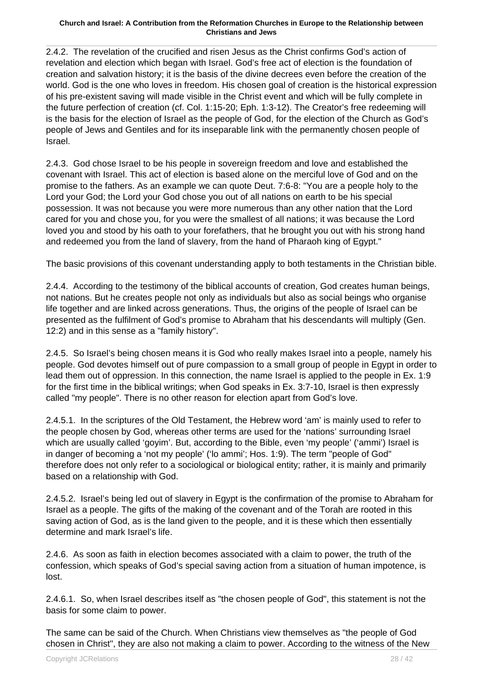2.4.2. The revelation of the crucified and risen Jesus as the Christ confirms God's action of revelation and election which began with Israel. God's free act of election is the foundation of creation and salvation history; it is the basis of the divine decrees even before the creation of the world. God is the one who loves in freedom. His chosen goal of creation is the historical expression of his pre-existent saving will made visible in the Christ event and which will be fully complete in the future perfection of creation (cf. Col. 1:15-20; Eph. 1:3-12). The Creator's free redeeming will is the basis for the election of Israel as the people of God, for the election of the Church as God's people of Jews and Gentiles and for its inseparable link with the permanently chosen people of Israel.

2.4.3. God chose Israel to be his people in sovereign freedom and love and established the covenant with Israel. This act of election is based alone on the merciful love of God and on the promise to the fathers. As an example we can quote Deut. 7:6-8: "You are a people holy to the Lord your God; the Lord your God chose you out of all nations on earth to be his special possession. It was not because you were more numerous than any other nation that the Lord cared for you and chose you, for you were the smallest of all nations; it was because the Lord loved you and stood by his oath to your forefathers, that he brought you out with his strong hand and redeemed you from the land of slavery, from the hand of Pharaoh king of Egypt."

The basic provisions of this covenant understanding apply to both testaments in the Christian bible.

2.4.4. According to the testimony of the biblical accounts of creation, God creates human beings, not nations. But he creates people not only as individuals but also as social beings who organise life together and are linked across generations. Thus, the origins of the people of Israel can be presented as the fulfilment of God's promise to Abraham that his descendants will multiply (Gen. 12:2) and in this sense as a "family history".

2.4.5. So Israel's being chosen means it is God who really makes Israel into a people, namely his people. God devotes himself out of pure compassion to a small group of people in Egypt in order to lead them out of oppression. In this connection, the name Israel is applied to the people in Ex. 1:9 for the first time in the biblical writings; when God speaks in Ex. 3:7-10, Israel is then expressly called "my people". There is no other reason for election apart from God's love.

2.4.5.1. In the scriptures of the Old Testament, the Hebrew word 'am' is mainly used to refer to the people chosen by God, whereas other terms are used for the 'nations' surrounding Israel which are usually called 'goyim'. But, according to the Bible, even 'my people' ('ammi') Israel is in danger of becoming a 'not my people' ('lo ammi'; Hos. 1:9). The term "people of God" therefore does not only refer to a sociological or biological entity; rather, it is mainly and primarily based on a relationship with God.

2.4.5.2. Israel's being led out of slavery in Egypt is the confirmation of the promise to Abraham for Israel as a people. The gifts of the making of the covenant and of the Torah are rooted in this saving action of God, as is the land given to the people, and it is these which then essentially determine and mark Israel's life.

2.4.6. As soon as faith in election becomes associated with a claim to power, the truth of the confession, which speaks of God's special saving action from a situation of human impotence, is lost.

2.4.6.1. So, when Israel describes itself as "the chosen people of God", this statement is not the basis for some claim to power.

The same can be said of the Church. When Christians view themselves as "the people of God chosen in Christ", they are also not making a claim to power. According to the witness of the New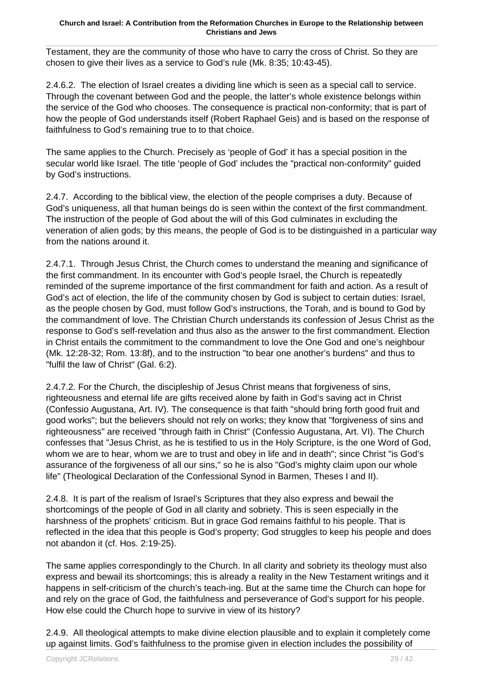Testament, they are the community of those who have to carry the cross of Christ. So they are chosen to give their lives as a service to God's rule (Mk. 8:35; 10:43-45).

2.4.6.2. The election of Israel creates a dividing line which is seen as a special call to service. Through the covenant between God and the people, the latter's whole existence belongs within the service of the God who chooses. The consequence is practical non-conformity; that is part of how the people of God understands itself (Robert Raphael Geis) and is based on the response of faithfulness to God's remaining true to to that choice.

The same applies to the Church. Precisely as 'people of God' it has a special position in the secular world like Israel. The title 'people of God' includes the "practical non-conformity" guided by God's instructions.

2.4.7. According to the biblical view, the election of the people comprises a duty. Because of God's uniqueness, all that human beings do is seen within the context of the first commandment. The instruction of the people of God about the will of this God culminates in excluding the veneration of alien gods; by this means, the people of God is to be distinguished in a particular way from the nations around it.

2.4.7.1. Through Jesus Christ, the Church comes to understand the meaning and significance of the first commandment. In its encounter with God's people Israel, the Church is repeatedly reminded of the supreme importance of the first commandment for faith and action. As a result of God's act of election, the life of the community chosen by God is subject to certain duties: Israel, as the people chosen by God, must follow God's instructions, the Torah, and is bound to God by the commandment of love. The Christian Church understands its confession of Jesus Christ as the response to God's self-revelation and thus also as the answer to the first commandment. Election in Christ entails the commitment to the commandment to love the One God and one's neighbour (Mk. 12:28-32; Rom. 13:8f), and to the instruction "to bear one another's burdens" and thus to "fulfil the law of Christ" (Gal. 6:2).

2.4.7.2. For the Church, the discipleship of Jesus Christ means that forgiveness of sins, righteousness and eternal life are gifts received alone by faith in God's saving act in Christ (Confessio Augustana, Art. IV). The consequence is that faith "should bring forth good fruit and good works"; but the believers should not rely on works; they know that "forgiveness of sins and righteousness" are received "through faith in Christ" (Confessio Augustana, Art. VI). The Church confesses that "Jesus Christ, as he is testified to us in the Holy Scripture, is the one Word of God, whom we are to hear, whom we are to trust and obey in life and in death"; since Christ "is God's assurance of the forgiveness of all our sins," so he is also "God's mighty claim upon our whole life" (Theological Declaration of the Confessional Synod in Barmen, Theses I and II).

2.4.8. It is part of the realism of Israel's Scriptures that they also express and bewail the shortcomings of the people of God in all clarity and sobriety. This is seen especially in the harshness of the prophets' criticism. But in grace God remains faithful to his people. That is reflected in the idea that this people is God's property; God struggles to keep his people and does not abandon it (cf. Hos. 2:19-25).

The same applies correspondingly to the Church. In all clarity and sobriety its theology must also express and bewail its shortcomings; this is already a reality in the New Testament writings and it happens in self-criticism of the church's teach-ing. But at the same time the Church can hope for and rely on the grace of God, the faithfulness and perseverance of God's support for his people. How else could the Church hope to survive in view of its history?

2.4.9. All theological attempts to make divine election plausible and to explain it completely come up against limits. God's faithfulness to the promise given in election includes the possibility of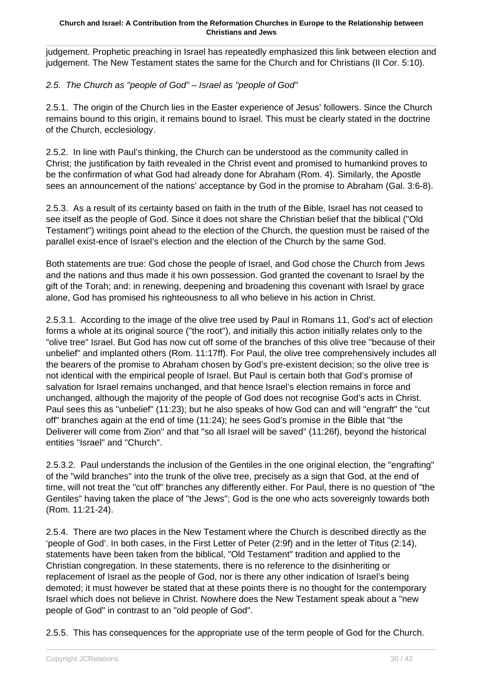judgement. Prophetic preaching in Israel has repeatedly emphasized this link between election and judgement. The New Testament states the same for the Church and for Christians (II Cor. 5:10).

### 2.5. The Church as "people of God" – Israel as "people of God"

2.5.1. The origin of the Church lies in the Easter experience of Jesus' followers. Since the Church remains bound to this origin, it remains bound to Israel. This must be clearly stated in the doctrine of the Church, ecclesiology.

2.5.2. In line with Paul's thinking, the Church can be understood as the community called in Christ; the justification by faith revealed in the Christ event and promised to humankind proves to be the confirmation of what God had already done for Abraham (Rom. 4). Similarly, the Apostle sees an announcement of the nations' acceptance by God in the promise to Abraham (Gal. 3:6-8).

2.5.3. As a result of its certainty based on faith in the truth of the Bible, Israel has not ceased to see itself as the people of God. Since it does not share the Christian belief that the biblical ("Old Testament") writings point ahead to the election of the Church, the question must be raised of the parallel exist-ence of Israel's election and the election of the Church by the same God.

Both statements are true: God chose the people of Israel, and God chose the Church from Jews and the nations and thus made it his own possession. God granted the covenant to Israel by the gift of the Torah; and: in renewing, deepening and broadening this covenant with Israel by grace alone, God has promised his righteousness to all who believe in his action in Christ.

2.5.3.1. According to the image of the olive tree used by Paul in Romans 11, God's act of election forms a whole at its original source ("the root"), and initially this action initially relates only to the "olive tree" Israel. But God has now cut off some of the branches of this olive tree "because of their unbelief" and implanted others (Rom. 11:17ff). For Paul, the olive tree comprehensively includes all the bearers of the promise to Abraham chosen by God's pre-existent decision; so the olive tree is not identical with the empirical people of Israel. But Paul is certain both that God's promise of salvation for Israel remains unchanged, and that hence Israel's election remains in force and unchanged, although the majority of the people of God does not recognise God's acts in Christ. Paul sees this as "unbelief" (11:23); but he also speaks of how God can and will "engraft" the "cut off" branches again at the end of time (11:24); he sees God's promise in the Bible that "the Deliverer will come from Zion" and that "so all Israel will be saved" (11:26f), beyond the historical entities "Israel" and "Church".

2.5.3.2. Paul understands the inclusion of the Gentiles in the one original election, the "engrafting" of the "wild branches" into the trunk of the olive tree, precisely as a sign that God, at the end of time, will not treat the "cut off" branches any differently either. For Paul, there is no question of "the Gentiles" having taken the place of "the Jews"; God is the one who acts sovereignly towards both (Rom. 11:21-24).

2.5.4. There are two places in the New Testament where the Church is described directly as the 'people of God'. In both cases, in the First Letter of Peter (2:9f) and in the letter of Titus (2:14), statements have been taken from the biblical, "Old Testament" tradition and applied to the Christian congregation. In these statements, there is no reference to the disinheriting or replacement of Israel as the people of God, nor is there any other indication of Israel's being demoted; it must however be stated that at these points there is no thought for the contemporary Israel which does not believe in Christ. Nowhere does the New Testament speak about a "new people of God" in contrast to an "old people of God".

2.5.5. This has consequences for the appropriate use of the term people of God for the Church.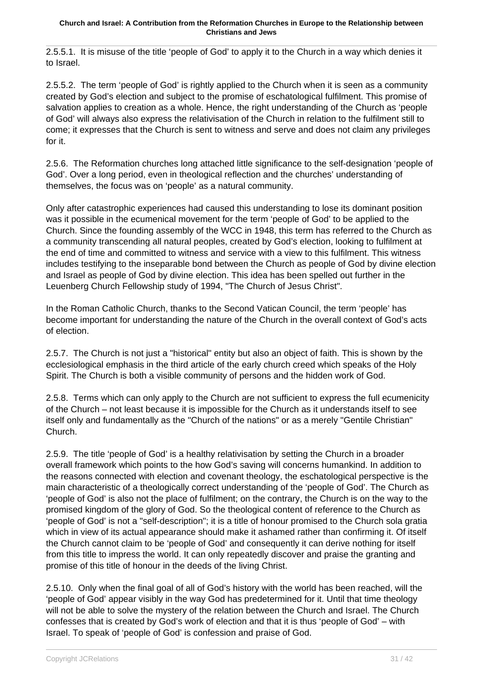2.5.5.1. It is misuse of the title 'people of God' to apply it to the Church in a way which denies it to Israel.

2.5.5.2. The term 'people of God' is rightly applied to the Church when it is seen as a community created by God's election and subject to the promise of eschatological fulfilment. This promise of salvation applies to creation as a whole. Hence, the right understanding of the Church as 'people of God' will always also express the relativisation of the Church in relation to the fulfilment still to come; it expresses that the Church is sent to witness and serve and does not claim any privileges for it.

2.5.6. The Reformation churches long attached little significance to the self-designation 'people of God'. Over a long period, even in theological reflection and the churches' understanding of themselves, the focus was on 'people' as a natural community.

Only after catastrophic experiences had caused this understanding to lose its dominant position was it possible in the ecumenical movement for the term 'people of God' to be applied to the Church. Since the founding assembly of the WCC in 1948, this term has referred to the Church as a community transcending all natural peoples, created by God's election, looking to fulfilment at the end of time and committed to witness and service with a view to this fulfilment. This witness includes testifying to the inseparable bond between the Church as people of God by divine election and Israel as people of God by divine election. This idea has been spelled out further in the Leuenberg Church Fellowship study of 1994, "The Church of Jesus Christ".

In the Roman Catholic Church, thanks to the Second Vatican Council, the term 'people' has become important for understanding the nature of the Church in the overall context of God's acts of election.

2.5.7. The Church is not just a "historical" entity but also an object of faith. This is shown by the ecclesiological emphasis in the third article of the early church creed which speaks of the Holy Spirit. The Church is both a visible community of persons and the hidden work of God.

2.5.8. Terms which can only apply to the Church are not sufficient to express the full ecumenicity of the Church – not least because it is impossible for the Church as it understands itself to see itself only and fundamentally as the "Church of the nations" or as a merely "Gentile Christian" Church.

2.5.9. The title 'people of God' is a healthy relativisation by setting the Church in a broader overall framework which points to the how God's saving will concerns humankind. In addition to the reasons connected with election and covenant theology, the eschatological perspective is the main characteristic of a theologically correct understanding of the 'people of God'. The Church as 'people of God' is also not the place of fulfilment; on the contrary, the Church is on the way to the promised kingdom of the glory of God. So the theological content of reference to the Church as 'people of God' is not a "self-description"; it is a title of honour promised to the Church sola gratia which in view of its actual appearance should make it ashamed rather than confirming it. Of itself the Church cannot claim to be 'people of God' and consequently it can derive nothing for itself from this title to impress the world. It can only repeatedly discover and praise the granting and promise of this title of honour in the deeds of the living Christ.

2.5.10. Only when the final goal of all of God's history with the world has been reached, will the 'people of God' appear visibly in the way God has predetermined for it. Until that time theology will not be able to solve the mystery of the relation between the Church and Israel. The Church confesses that is created by God's work of election and that it is thus 'people of God' – with Israel. To speak of 'people of God' is confession and praise of God.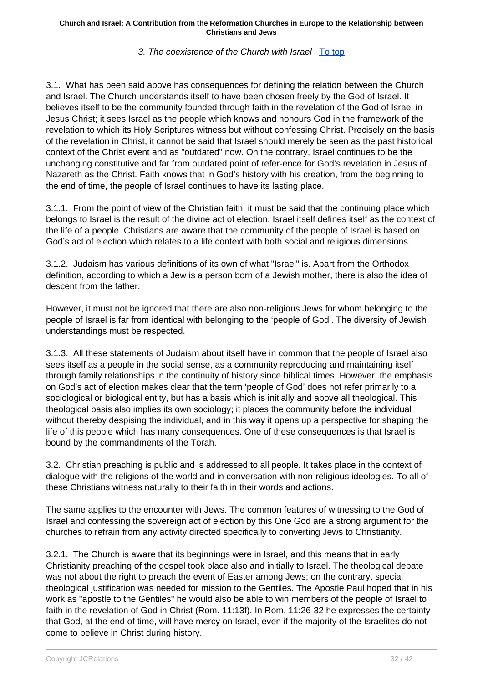### 3. The coexistence of the Church with Israel To top

3.1. What has been said above has consequences for defining the relation between the Church and Israel. The Church understands itself to have been chosen freely by the God of Israel. It believes itself to be the community founded through faith in the revelation of the God of Israel in Jesus Christ; it sees Israel as the people which knows and honours God in the framework of the revelation to which its Holy Scriptures witness but without confessing Christ. Precisely on the basis of the revelation in Christ, it cannot be said that Israel should merely be seen as the past historical context of the Christ event and as "outdated" now. On the contrary, Israel continues to be the unchanging constitutive and far from outdated point of refer-ence for God's revelation in Jesus of Nazareth as the Christ. Faith knows that in God's history with his creation, from the beginning to the end of time, the people of Israel continues to have its lasting place.

3.1.1. From the point of view of the Christian faith, it must be said that the continuing place which belongs to Israel is the result of the divine act of election. Israel itself defines itself as the context of the life of a people. Christians are aware that the community of the people of Israel is based on God's act of election which relates to a life context with both social and religious dimensions.

3.1.2. Judaism has various definitions of its own of what "Israel" is. Apart from the Orthodox definition, according to which a Jew is a person born of a Jewish mother, there is also the idea of descent from the father.

However, it must not be ignored that there are also non-religious Jews for whom belonging to the people of Israel is far from identical with belonging to the 'people of God'. The diversity of Jewish understandings must be respected.

3.1.3. All these statements of Judaism about itself have in common that the people of Israel also sees itself as a people in the social sense, as a community reproducing and maintaining itself through family relationships in the continuity of history since biblical times. However, the emphasis on God's act of election makes clear that the term 'people of God' does not refer primarily to a sociological or biological entity, but has a basis which is initially and above all theological. This theological basis also implies its own sociology; it places the community before the individual without thereby despising the individual, and in this way it opens up a perspective for shaping the life of this people which has many consequences. One of these consequences is that Israel is bound by the commandments of the Torah.

3.2. Christian preaching is public and is addressed to all people. It takes place in the context of dialogue with the religions of the world and in conversation with non-religious ideologies. To all of these Christians witness naturally to their faith in their words and actions.

The same applies to the encounter with Jews. The common features of witnessing to the God of Israel and confessing the sovereign act of election by this One God are a strong argument for the churches to refrain from any activity directed specifically to converting Jews to Christianity.

3.2.1. The Church is aware that its beginnings were in Israel, and this means that in early Christianity preaching of the gospel took place also and initially to Israel. The theological debate was not about the right to preach the event of Easter among Jews; on the contrary, special theological justification was needed for mission to the Gentiles. The Apostle Paul hoped that in his work as "apostle to the Gentiles" he would also be able to win members of the people of Israel to faith in the revelation of God in Christ (Rom. 11:13f). In Rom. 11:26-32 he expresses the certainty that God, at the end of time, will have mercy on Israel, even if the majority of the Israelites do not come to believe in Christ during history.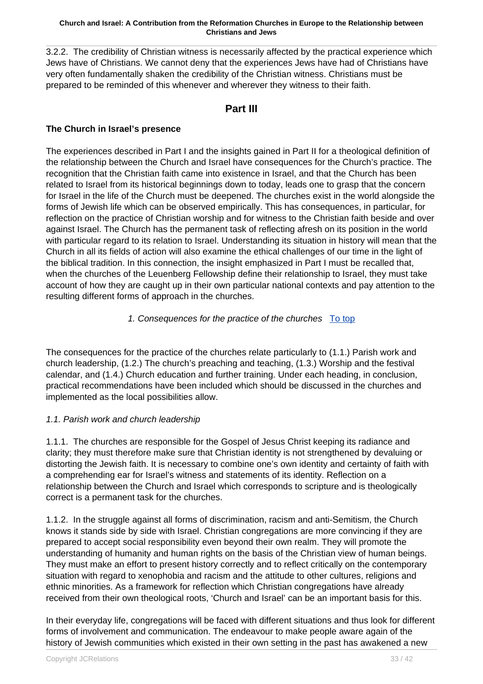3.2.2. The credibility of Christian witness is necessarily affected by the practical experience which Jews have of Christians. We cannot deny that the experiences Jews have had of Christians have very often fundamentally shaken the credibility of the Christian witness. Christians must be prepared to be reminded of this whenever and wherever they witness to their faith.

## **Part III**

### **The Church in Israel's presence**

The experiences described in Part I and the insights gained in Part II for a theological definition of the relationship between the Church and Israel have consequences for the Church's practice. The recognition that the Christian faith came into existence in Israel, and that the Church has been related to Israel from its historical beginnings down to today, leads one to grasp that the concern for Israel in the life of the Church must be deepened. The churches exist in the world alongside the forms of Jewish life which can be observed empirically. This has consequences, in particular, for reflection on the practice of Christian worship and for witness to the Christian faith beside and over against Israel. The Church has the permanent task of reflecting afresh on its position in the world with particular regard to its relation to Israel. Understanding its situation in history will mean that the Church in all its fields of action will also examine the ethical challenges of our time in the light of the biblical tradition. In this connection, the insight emphasized in Part I must be recalled that, when the churches of the Leuenberg Fellowship define their relationship to Israel, they must take account of how they are caught up in their own particular national contexts and pay attention to the resulting different forms of approach in the churches.

### 1. Consequences for the practice of the churches To top

The consequences for the practice of the churches relate particularly to (1.1.) Parish work and church leadership, (1.2.) The church's preaching and teaching, (1.3.) Worship and the festival calendar, and (1.4.) Church education and further training. Under each heading, in conclusion, practical recommendations have been included which should be discussed in the churches and implemented as the local possibilities allow.

### 1.1. Parish work and church leadership

1.1.1. The churches are responsible for the Gospel of Jesus Christ keeping its radiance and clarity; they must therefore make sure that Christian identity is not strengthened by devaluing or distorting the Jewish faith. It is necessary to combine one's own identity and certainty of faith with a comprehending ear for Israel's witness and statements of its identity. Reflection on a relationship between the Church and Israel which corresponds to scripture and is theologically correct is a permanent task for the churches.

1.1.2. In the struggle against all forms of discrimination, racism and anti-Semitism, the Church knows it stands side by side with Israel. Christian congregations are more convincing if they are prepared to accept social responsibility even beyond their own realm. They will promote the understanding of humanity and human rights on the basis of the Christian view of human beings. They must make an effort to present history correctly and to reflect critically on the contemporary situation with regard to xenophobia and racism and the attitude to other cultures, religions and ethnic minorities. As a framework for reflection which Christian congregations have already received from their own theological roots, 'Church and Israel' can be an important basis for this.

In their everyday life, congregations will be faced with different situations and thus look for different forms of involvement and communication. The endeavour to make people aware again of the history of Jewish communities which existed in their own setting in the past has awakened a new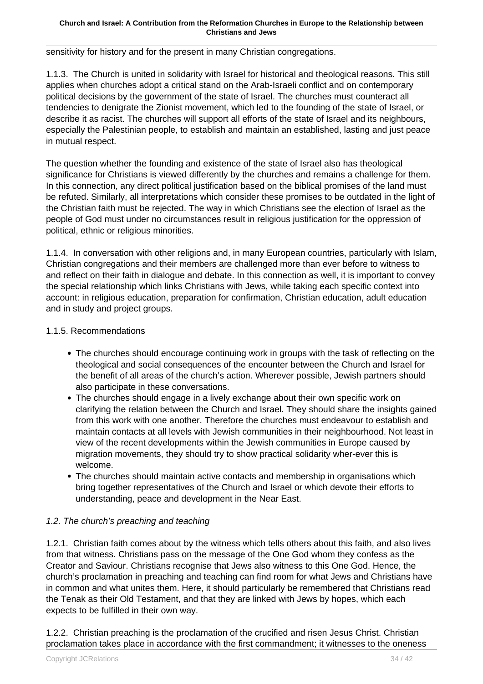sensitivity for history and for the present in many Christian congregations.

1.1.3. The Church is united in solidarity with Israel for historical and theological reasons. This still applies when churches adopt a critical stand on the Arab-Israeli conflict and on contemporary political decisions by the government of the state of Israel. The churches must counteract all tendencies to denigrate the Zionist movement, which led to the founding of the state of Israel, or describe it as racist. The churches will support all efforts of the state of Israel and its neighbours, especially the Palestinian people, to establish and maintain an established, lasting and just peace in mutual respect.

The question whether the founding and existence of the state of Israel also has theological significance for Christians is viewed differently by the churches and remains a challenge for them. In this connection, any direct political justification based on the biblical promises of the land must be refuted. Similarly, all interpretations which consider these promises to be outdated in the light of the Christian faith must be rejected. The way in which Christians see the election of Israel as the people of God must under no circumstances result in religious justification for the oppression of political, ethnic or religious minorities.

1.1.4. In conversation with other religions and, in many European countries, particularly with Islam, Christian congregations and their members are challenged more than ever before to witness to and reflect on their faith in dialogue and debate. In this connection as well, it is important to convey the special relationship which links Christians with Jews, while taking each specific context into account: in religious education, preparation for confirmation, Christian education, adult education and in study and project groups.

### 1.1.5. Recommendations

- The churches should encourage continuing work in groups with the task of reflecting on the theological and social consequences of the encounter between the Church and Israel for the benefit of all areas of the church's action. Wherever possible, Jewish partners should also participate in these conversations.
- The churches should engage in a lively exchange about their own specific work on clarifying the relation between the Church and Israel. They should share the insights gained from this work with one another. Therefore the churches must endeavour to establish and maintain contacts at all levels with Jewish communities in their neighbourhood. Not least in view of the recent developments within the Jewish communities in Europe caused by migration movements, they should try to show practical solidarity wher-ever this is welcome.
- The churches should maintain active contacts and membership in organisations which bring together representatives of the Church and Israel or which devote their efforts to understanding, peace and development in the Near East.

### 1.2. The church's preaching and teaching

1.2.1. Christian faith comes about by the witness which tells others about this faith, and also lives from that witness. Christians pass on the message of the One God whom they confess as the Creator and Saviour. Christians recognise that Jews also witness to this One God. Hence, the church's proclamation in preaching and teaching can find room for what Jews and Christians have in common and what unites them. Here, it should particularly be remembered that Christians read the Tenak as their Old Testament, and that they are linked with Jews by hopes, which each expects to be fulfilled in their own way.

1.2.2. Christian preaching is the proclamation of the crucified and risen Jesus Christ. Christian proclamation takes place in accordance with the first commandment; it witnesses to the oneness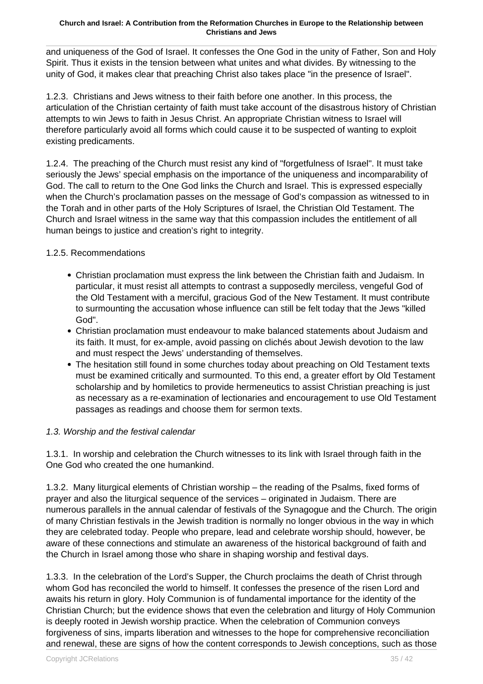and uniqueness of the God of Israel. It confesses the One God in the unity of Father, Son and Holy Spirit. Thus it exists in the tension between what unites and what divides. By witnessing to the unity of God, it makes clear that preaching Christ also takes place "in the presence of Israel".

1.2.3. Christians and Jews witness to their faith before one another. In this process, the articulation of the Christian certainty of faith must take account of the disastrous history of Christian attempts to win Jews to faith in Jesus Christ. An appropriate Christian witness to Israel will therefore particularly avoid all forms which could cause it to be suspected of wanting to exploit existing predicaments.

1.2.4. The preaching of the Church must resist any kind of "forgetfulness of Israel". It must take seriously the Jews' special emphasis on the importance of the uniqueness and incomparability of God. The call to return to the One God links the Church and Israel. This is expressed especially when the Church's proclamation passes on the message of God's compassion as witnessed to in the Torah and in other parts of the Holy Scriptures of Israel, the Christian Old Testament. The Church and Israel witness in the same way that this compassion includes the entitlement of all human beings to justice and creation's right to integrity.

### 1.2.5. Recommendations

- Christian proclamation must express the link between the Christian faith and Judaism. In particular, it must resist all attempts to contrast a supposedly merciless, vengeful God of the Old Testament with a merciful, gracious God of the New Testament. It must contribute to surmounting the accusation whose influence can still be felt today that the Jews "killed God".
- Christian proclamation must endeavour to make balanced statements about Judaism and its faith. It must, for ex-ample, avoid passing on clichés about Jewish devotion to the law and must respect the Jews' understanding of themselves.
- The hesitation still found in some churches today about preaching on Old Testament texts must be examined critically and surmounted. To this end, a greater effort by Old Testament scholarship and by homiletics to provide hermeneutics to assist Christian preaching is just as necessary as a re-examination of lectionaries and encouragement to use Old Testament passages as readings and choose them for sermon texts.

### 1.3. Worship and the festival calendar

1.3.1. In worship and celebration the Church witnesses to its link with Israel through faith in the One God who created the one humankind.

1.3.2. Many liturgical elements of Christian worship – the reading of the Psalms, fixed forms of prayer and also the liturgical sequence of the services – originated in Judaism. There are numerous parallels in the annual calendar of festivals of the Synagogue and the Church. The origin of many Christian festivals in the Jewish tradition is normally no longer obvious in the way in which they are celebrated today. People who prepare, lead and celebrate worship should, however, be aware of these connections and stimulate an awareness of the historical background of faith and the Church in Israel among those who share in shaping worship and festival days.

1.3.3. In the celebration of the Lord's Supper, the Church proclaims the death of Christ through whom God has reconciled the world to himself. It confesses the presence of the risen Lord and awaits his return in glory. Holy Communion is of fundamental importance for the identity of the Christian Church; but the evidence shows that even the celebration and liturgy of Holy Communion is deeply rooted in Jewish worship practice. When the celebration of Communion conveys forgiveness of sins, imparts liberation and witnesses to the hope for comprehensive reconciliation and renewal, these are signs of how the content corresponds to Jewish conceptions, such as those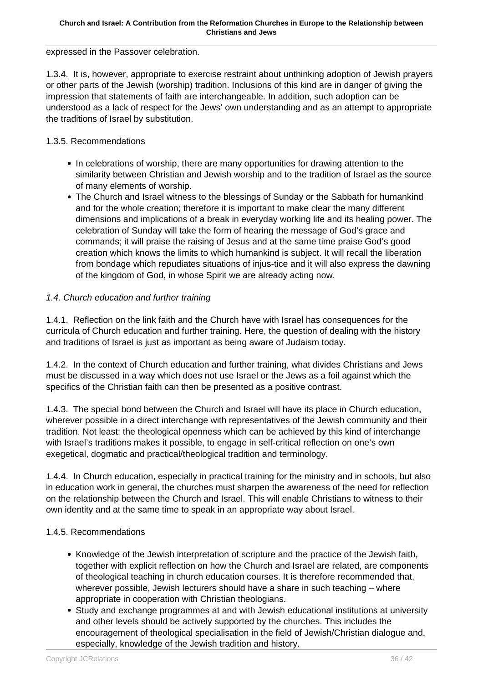expressed in the Passover celebration.

1.3.4. It is, however, appropriate to exercise restraint about unthinking adoption of Jewish prayers or other parts of the Jewish (worship) tradition. Inclusions of this kind are in danger of giving the impression that statements of faith are interchangeable. In addition, such adoption can be understood as a lack of respect for the Jews' own understanding and as an attempt to appropriate the traditions of Israel by substitution.

### 1.3.5. Recommendations

- In celebrations of worship, there are many opportunities for drawing attention to the similarity between Christian and Jewish worship and to the tradition of Israel as the source of many elements of worship.
- The Church and Israel witness to the blessings of Sunday or the Sabbath for humankind and for the whole creation; therefore it is important to make clear the many different dimensions and implications of a break in everyday working life and its healing power. The celebration of Sunday will take the form of hearing the message of God's grace and commands; it will praise the raising of Jesus and at the same time praise God's good creation which knows the limits to which humankind is subject. It will recall the liberation from bondage which repudiates situations of injus-tice and it will also express the dawning of the kingdom of God, in whose Spirit we are already acting now.

### 1.4. Church education and further training

1.4.1. Reflection on the link faith and the Church have with Israel has consequences for the curricula of Church education and further training. Here, the question of dealing with the history and traditions of Israel is just as important as being aware of Judaism today.

1.4.2. In the context of Church education and further training, what divides Christians and Jews must be discussed in a way which does not use Israel or the Jews as a foil against which the specifics of the Christian faith can then be presented as a positive contrast.

1.4.3. The special bond between the Church and Israel will have its place in Church education, wherever possible in a direct interchange with representatives of the Jewish community and their tradition. Not least: the theological openness which can be achieved by this kind of interchange with Israel's traditions makes it possible, to engage in self-critical reflection on one's own exegetical, dogmatic and practical/theological tradition and terminology.

1.4.4. In Church education, especially in practical training for the ministry and in schools, but also in education work in general, the churches must sharpen the awareness of the need for reflection on the relationship between the Church and Israel. This will enable Christians to witness to their own identity and at the same time to speak in an appropriate way about Israel.

### 1.4.5. Recommendations

- Knowledge of the Jewish interpretation of scripture and the practice of the Jewish faith, together with explicit reflection on how the Church and Israel are related, are components of theological teaching in church education courses. It is therefore recommended that, wherever possible, Jewish lecturers should have a share in such teaching – where appropriate in cooperation with Christian theologians.
- Study and exchange programmes at and with Jewish educational institutions at university and other levels should be actively supported by the churches. This includes the encouragement of theological specialisation in the field of Jewish/Christian dialogue and, especially, knowledge of the Jewish tradition and history.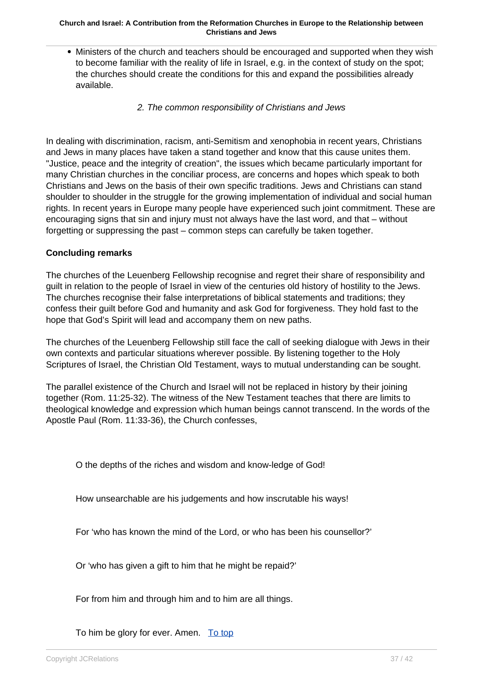- Ministers of the church and teachers should be encouraged and supported when they wish to become familiar with the reality of life in Israel, e.g. in the context of study on the spot; the churches should create the conditions for this and expand the possibilities already available.
	- 2. The common responsibility of Christians and Jews

In dealing with discrimination, racism, anti-Semitism and xenophobia in recent years, Christians and Jews in many places have taken a stand together and know that this cause unites them. "Justice, peace and the integrity of creation", the issues which became particularly important for many Christian churches in the conciliar process, are concerns and hopes which speak to both Christians and Jews on the basis of their own specific traditions. Jews and Christians can stand shoulder to shoulder in the struggle for the growing implementation of individual and social human rights. In recent years in Europe many people have experienced such joint commitment. These are encouraging signs that sin and injury must not always have the last word, and that – without forgetting or suppressing the past – common steps can carefully be taken together.

### **Concluding remarks**

The churches of the Leuenberg Fellowship recognise and regret their share of responsibility and guilt in relation to the people of Israel in view of the centuries old history of hostility to the Jews. The churches recognise their false interpretations of biblical statements and traditions; they confess their guilt before God and humanity and ask God for forgiveness. They hold fast to the hope that God's Spirit will lead and accompany them on new paths.

The churches of the Leuenberg Fellowship still face the call of seeking dialogue with Jews in their own contexts and particular situations wherever possible. By listening together to the Holy Scriptures of Israel, the Christian Old Testament, ways to mutual understanding can be sought.

The parallel existence of the Church and Israel will not be replaced in history by their joining together (Rom. 11:25-32). The witness of the New Testament teaches that there are limits to theological knowledge and expression which human beings cannot transcend. In the words of the Apostle Paul (Rom. 11:33-36), the Church confesses,

O the depths of the riches and wisdom and know-ledge of God!

How unsearchable are his judgements and how inscrutable his ways!

For 'who has known the mind of the Lord, or who has been his counsellor?'

Or 'who has given a gift to him that he might be repaid?'

For from him and through him and to him are all things.

To him be glory for ever. Amen. To top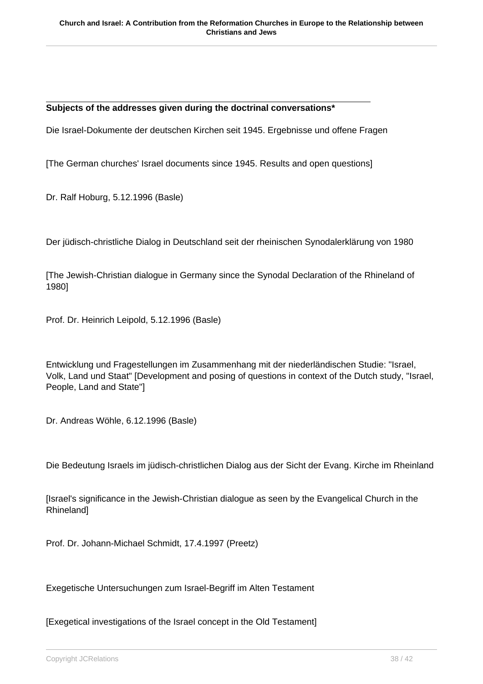#### **Subjects of the addresses given during the doctrinal conversations\***

Die Israel-Dokumente der deutschen Kirchen seit 1945. Ergebnisse und offene Fragen

[The German churches' Israel documents since 1945. Results and open questions]

Dr. Ralf Hoburg, 5.12.1996 (Basle)

Der jüdisch-christliche Dialog in Deutschland seit der rheinischen Synodalerklärung von 1980

[The Jewish-Christian dialogue in Germany since the Synodal Declaration of the Rhineland of 1980]

Prof. Dr. Heinrich Leipold, 5.12.1996 (Basle)

Entwicklung und Fragestellungen im Zusammenhang mit der niederländischen Studie: "Israel, Volk, Land und Staat" [Development and posing of questions in context of the Dutch study, "Israel, People, Land and State"]

Dr. Andreas Wöhle, 6.12.1996 (Basle)

Die Bedeutung Israels im jüdisch-christlichen Dialog aus der Sicht der Evang. Kirche im Rheinland

[Israel's significance in the Jewish-Christian dialogue as seen by the Evangelical Church in the Rhineland]

Prof. Dr. Johann-Michael Schmidt, 17.4.1997 (Preetz)

Exegetische Untersuchungen zum Israel-Begriff im Alten Testament

[Exegetical investigations of the Israel concept in the Old Testament]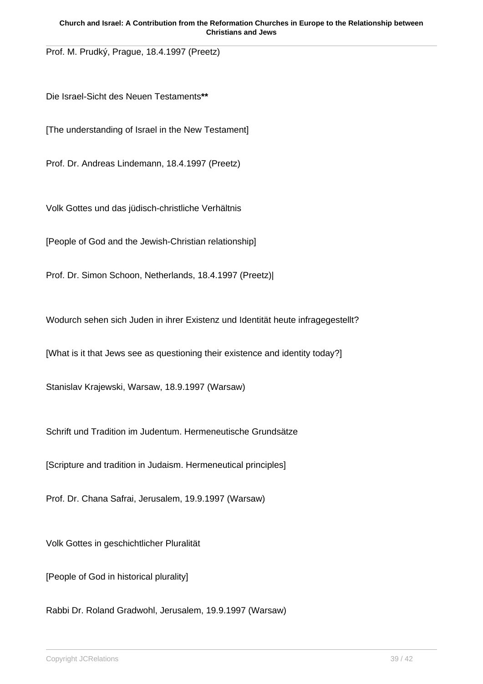Prof. M. Prudký, Prague, 18.4.1997 (Preetz)

Die Israel-Sicht des Neuen Testaments**\*\***

[The understanding of Israel in the New Testament]

Prof. Dr. Andreas Lindemann, 18.4.1997 (Preetz)

Volk Gottes und das jüdisch-christliche Verhältnis

[People of God and the Jewish-Christian relationship]

Prof. Dr. Simon Schoon, Netherlands, 18.4.1997 (Preetz)|

Wodurch sehen sich Juden in ihrer Existenz und Identität heute infragegestellt?

[What is it that Jews see as questioning their existence and identity today?]

Stanislav Krajewski, Warsaw, 18.9.1997 (Warsaw)

Schrift und Tradition im Judentum. Hermeneutische Grundsätze

[Scripture and tradition in Judaism. Hermeneutical principles]

Prof. Dr. Chana Safrai, Jerusalem, 19.9.1997 (Warsaw)

Volk Gottes in geschichtlicher Pluralität

[People of God in historical plurality]

Rabbi Dr. Roland Gradwohl, Jerusalem, 19.9.1997 (Warsaw)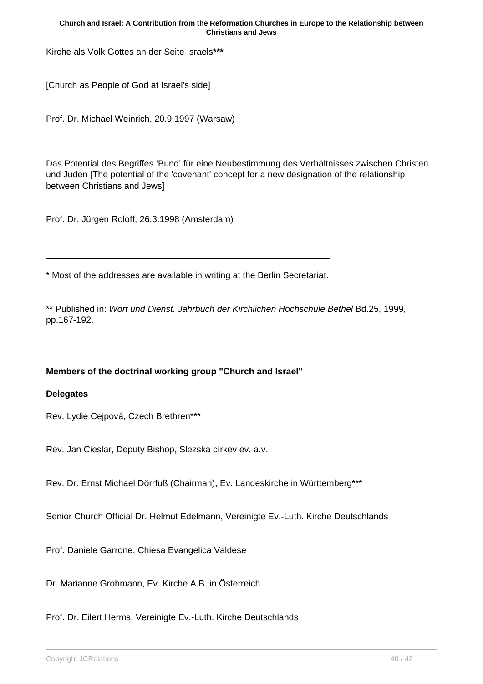Kirche als Volk Gottes an der Seite Israels**\*\*\***

[Church as People of God at Israel's side]

Prof. Dr. Michael Weinrich, 20.9.1997 (Warsaw)

Das Potential des Begriffes 'Bund' für eine Neubestimmung des Verhältnisses zwischen Christen und Juden [The potential of the 'covenant' concept for a new designation of the relationship between Christians and Jews]

Prof. Dr. Jürgen Roloff, 26.3.1998 (Amsterdam)

\* Most of the addresses are available in writing at the Berlin Secretariat.

\*\* Published in: Wort und Dienst. Jahrbuch der Kirchlichen Hochschule Bethel Bd.25, 1999, pp.167-192.

### **Members of the doctrinal working group "Church and Israel"**

### **Delegates**

Rev. Lydie Cejpová, Czech Brethren\*\*\*

Rev. Jan Cieslar, Deputy Bishop, Slezská církev ev. a.v.

Rev. Dr. Ernst Michael Dörrfuß (Chairman), Ev. Landeskirche in Württemberg\*\*\*

Senior Church Official Dr. Helmut Edelmann, Vereinigte Ev.-Luth. Kirche Deutschlands

Prof. Daniele Garrone, Chiesa Evangelica Valdese

Dr. Marianne Grohmann, Ev. Kirche A.B. in Österreich

Prof. Dr. Eilert Herms, Vereinigte Ev.-Luth. Kirche Deutschlands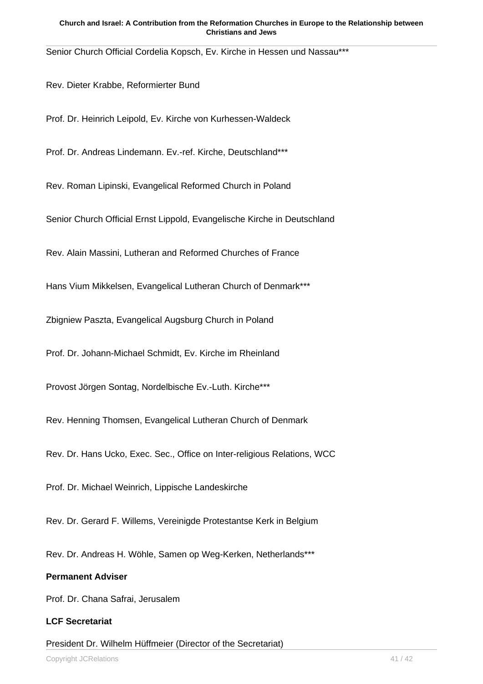Senior Church Official Cordelia Kopsch, Ev. Kirche in Hessen und Nassau\*\*\*

Rev. Dieter Krabbe, Reformierter Bund

Prof. Dr. Heinrich Leipold, Ev. Kirche von Kurhessen-Waldeck

Prof. Dr. Andreas Lindemann. Ev.-ref. Kirche, Deutschland\*\*\*

Rev. Roman Lipinski, Evangelical Reformed Church in Poland

Senior Church Official Ernst Lippold, Evangelische Kirche in Deutschland

Rev. Alain Massini, Lutheran and Reformed Churches of France

Hans Vium Mikkelsen, Evangelical Lutheran Church of Denmark\*\*\*

Zbigniew Paszta, Evangelical Augsburg Church in Poland

Prof. Dr. Johann-Michael Schmidt, Ev. Kirche im Rheinland

Provost Jörgen Sontag, Nordelbische Ev.-Luth. Kirche\*\*\*

Rev. Henning Thomsen, Evangelical Lutheran Church of Denmark

Rev. Dr. Hans Ucko, Exec. Sec., Office on Inter-religious Relations, WCC

Prof. Dr. Michael Weinrich, Lippische Landeskirche

Rev. Dr. Gerard F. Willems, Vereinigde Protestantse Kerk in Belgium

Rev. Dr. Andreas H. Wöhle, Samen op Weg-Kerken, Netherlands\*\*\*

### **Permanent Adviser**

Prof. Dr. Chana Safrai, Jerusalem

#### **LCF Secretariat**

President Dr. Wilhelm Hüffmeier (Director of the Secretariat)